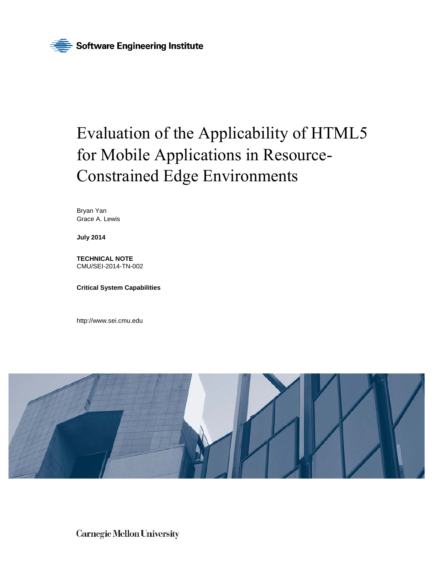

# Evaluation of the Applicability of HTML5 for Mobile Applications in Resource-Constrained Edge Environments

Bryan Yan Grace A. Lewis

**July 2014** 

**TECHNICAL NOTE**  CMU/SEI-2014-TN-002

**Critical System Capabilities** 

<http://www.sei.cmu.edu>



**Carnegie Mellon University**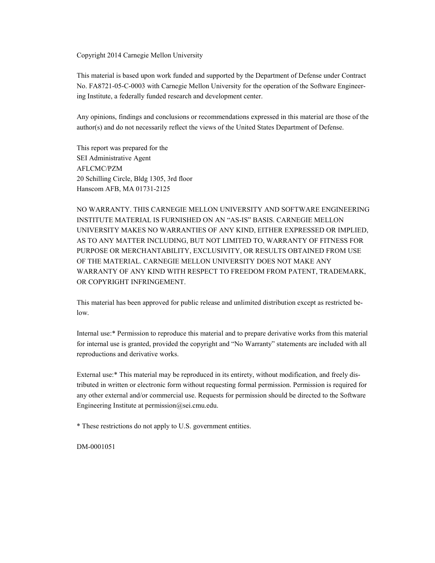Copyright 2014 Carnegie Mellon University

This material is based upon work funded and supported by the Department of Defense under Contract No. FA8721-05-C-0003 with Carnegie Mellon University for the operation of the Software Engineering Institute, a federally funded research and development center.

Any opinions, findings and conclusions or recommendations expressed in this material are those of the author(s) and do not necessarily reflect the views of the United States Department of Defense.

This report was prepared for the SEI Administrative Agent AFLCMC/PZM 20 Schilling Circle, Bldg 1305, 3rd floor Hanscom AFB, MA 01731-2125

NO WARRANTY. THIS CARNEGIE MELLON UNIVERSITY AND SOFTWARE ENGINEERING INSTITUTE MATERIAL IS FURNISHED ON AN "AS-IS" BASIS. CARNEGIE MELLON UNIVERSITY MAKES NO WARRANTIES OF ANY KIND, EITHER EXPRESSED OR IMPLIED, AS TO ANY MATTER INCLUDING, BUT NOT LIMITED TO, WARRANTY OF FITNESS FOR PURPOSE OR MERCHANTABILITY, EXCLUSIVITY, OR RESULTS OBTAINED FROM USE OF THE MATERIAL. CARNEGIE MELLON UNIVERSITY DOES NOT MAKE ANY WARRANTY OF ANY KIND WITH RESPECT TO FREEDOM FROM PATENT, TRADEMARK, OR COPYRIGHT INFRINGEMENT.

This material has been approved for public release and unlimited distribution except as restricted below.

Internal use:\* Permission to reproduce this material and to prepare derivative works from this material for internal use is granted, provided the copyright and "No Warranty" statements are included with all reproductions and derivative works.

External use:\* This material may be reproduced in its entirety, without modification, and freely distributed in written or electronic form without requesting formal permission. Permission is required for any other external and/or commercial use. Requests for permission should be directed to the Software Engineering Institute at permission@sei.cmu.edu.

\* These restrictions do not apply to U.S. government entities.

DM-0001051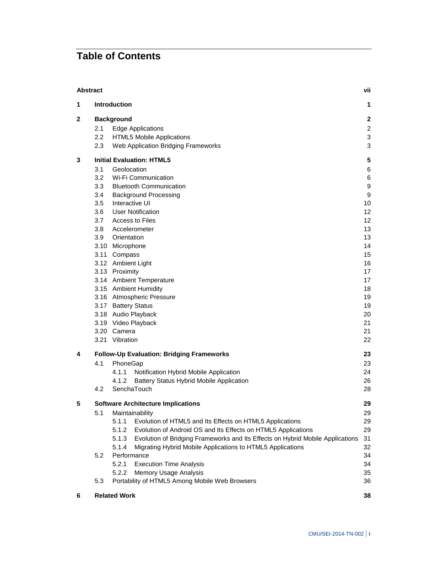## **Table of Contents**

| <b>Abstract</b> |         |                                                                                         | vii                       |
|-----------------|---------|-----------------------------------------------------------------------------------------|---------------------------|
| 1               |         | <b>Introduction</b>                                                                     | 1                         |
| $\mathbf{2}$    |         | <b>Background</b>                                                                       | $\mathbf 2$               |
|                 | 2.1     | <b>Edge Applications</b>                                                                | $\overline{c}$            |
|                 | $2.2\,$ | <b>HTML5 Mobile Applications</b>                                                        | $\ensuremath{\mathsf{3}}$ |
|                 | 2.3     | Web Application Bridging Frameworks                                                     | $\ensuremath{\mathsf{3}}$ |
| 3               |         | <b>Initial Evaluation: HTML5</b>                                                        | 5                         |
|                 | 3.1     | Geolocation                                                                             | 6                         |
|                 | 3.2     | Wi-Fi Communication                                                                     | 6                         |
|                 | 3.3     | <b>Bluetooth Communication</b>                                                          | 9                         |
|                 | 3.4     | <b>Background Processing</b>                                                            | 9                         |
|                 | 3.5     | Interactive UI                                                                          | 10                        |
|                 | 3.6     | <b>User Notification</b>                                                                | 12                        |
|                 | 3.7     | Access to Files                                                                         | 12                        |
|                 | 3.8     | Accelerometer                                                                           | 13                        |
|                 | 3.9     | Orientation                                                                             | 13                        |
|                 |         | 3.10 Microphone                                                                         | 14                        |
|                 |         | 3.11 Compass                                                                            | 15                        |
|                 |         | 3.12 Ambient Light                                                                      | 16                        |
|                 |         | 3.13 Proximity                                                                          | 17                        |
|                 |         | 3.14 Ambient Temperature                                                                | 17                        |
|                 |         | 3.15 Ambient Humidity                                                                   | 18                        |
|                 |         | 3.16 Atmospheric Pressure                                                               | 19                        |
|                 |         | 3.17 Battery Status                                                                     | 19                        |
|                 |         |                                                                                         | 20                        |
|                 |         | 3.18 Audio Playback                                                                     |                           |
|                 |         | 3.19 Video Playback                                                                     | 21                        |
|                 |         | 3.20 Camera                                                                             | 21                        |
|                 |         | 3.21 Vibration                                                                          | 22                        |
| 4               |         | Follow-Up Evaluation: Bridging Frameworks                                               | 23                        |
|                 | 4.1     | PhoneGap                                                                                | 23                        |
|                 |         | 4.1.1<br>Notification Hybrid Mobile Application                                         | 24                        |
|                 |         | <b>Battery Status Hybrid Mobile Application</b><br>4.1.2                                | 26                        |
|                 | 4.2     | SenchaTouch                                                                             | 28                        |
| 5               |         | <b>Software Architecture Implications</b>                                               | 29                        |
|                 | 5.1     | Maintainability                                                                         | 29                        |
|                 |         | 5.1.1<br>Evolution of HTML5 and Its Effects on HTML5 Applications                       | 29                        |
|                 |         | 5.1.2<br>Evolution of Android OS and Its Effects on HTML5 Applications                  | 29                        |
|                 |         | Evolution of Bridging Frameworks and Its Effects on Hybrid Mobile Applications<br>5.1.3 | 31                        |
|                 |         | Migrating Hybrid Mobile Applications to HTML5 Applications<br>5.1.4                     | 32                        |
|                 | 5.2     | Performance                                                                             | 34                        |
|                 |         | 5.2.1<br><b>Execution Time Analysis</b>                                                 | 34                        |
|                 |         | Memory Usage Analysis<br>5.2.2                                                          | 35                        |
|                 | 5.3     | Portability of HTML5 Among Mobile Web Browsers                                          | 36                        |
| 6               |         | <b>Related Work</b>                                                                     | 38                        |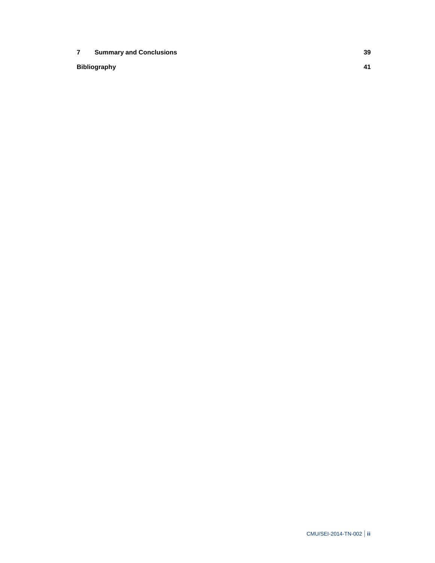**7 Summary and Conclusions 39**

**Bibliography 41**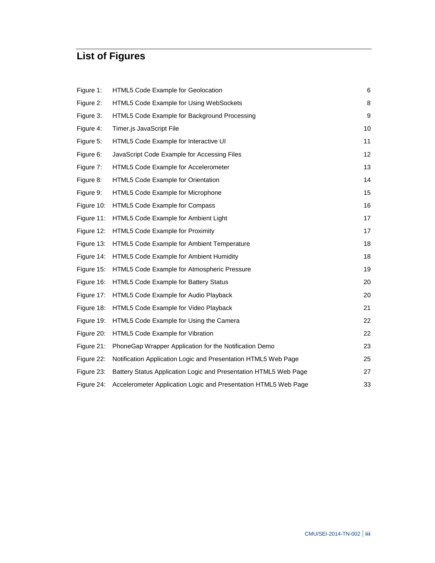## **List of Figures**

| Figure 1:  | HTML5 Code Example for Geolocation                               | 6  |
|------------|------------------------------------------------------------------|----|
| Figure 2:  | HTML5 Code Example for Using WebSockets                          | 8  |
| Figure 3:  | HTML5 Code Example for Background Processing                     | 9  |
| Figure 4:  | Timer.js JavaScript File                                         | 10 |
| Figure 5:  | HTML5 Code Example for Interactive UI                            | 11 |
| Figure 6:  | JavaScript Code Example for Accessing Files                      | 12 |
| Figure 7:  | HTML5 Code Example for Accelerometer                             | 13 |
| Figure 8:  | HTML5 Code Example for Orientation                               | 14 |
| Figure 9:  | HTML5 Code Example for Microphone                                | 15 |
| Figure 10: | HTML5 Code Example for Compass                                   | 16 |
| Figure 11: | HTML5 Code Example for Ambient Light                             | 17 |
| Figure 12: | HTML5 Code Example for Proximity                                 | 17 |
| Figure 13: | HTML5 Code Example for Ambient Temperature                       | 18 |
| Figure 14: | HTML5 Code Example for Ambient Humidity                          | 18 |
| Figure 15: | HTML5 Code Example for Atmospheric Pressure                      | 19 |
| Figure 16: | HTML5 Code Example for Battery Status                            | 20 |
| Figure 17: | HTML5 Code Example for Audio Playback                            | 20 |
| Figure 18: | HTML5 Code Example for Video Playback                            | 21 |
| Figure 19: | HTML5 Code Example for Using the Camera                          | 22 |
| Figure 20: | HTML5 Code Example for Vibration                                 | 22 |
| Figure 21: | PhoneGap Wrapper Application for the Notification Demo           | 23 |
| Figure 22: | Notification Application Logic and Presentation HTML5 Web Page   | 25 |
| Figure 23: | Battery Status Application Logic and Presentation HTML5 Web Page | 27 |
| Figure 24: | Accelerometer Application Logic and Presentation HTML5 Web Page  | 33 |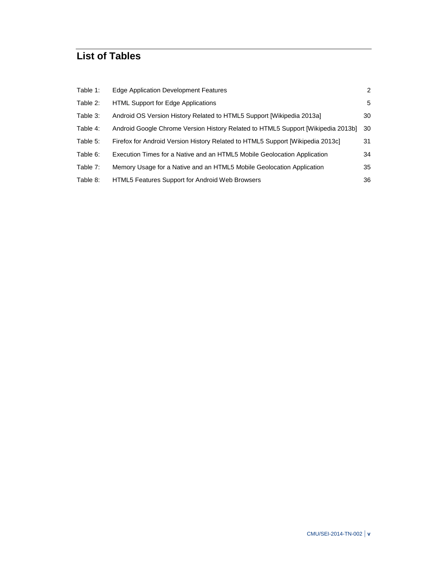## **List of Tables**

| Table 1: | Edge Application Development Features                                            | $\overline{2}$ |
|----------|----------------------------------------------------------------------------------|----------------|
| Table 2: | HTML Support for Edge Applications                                               | 5              |
| Table 3: | Android OS Version History Related to HTML5 Support [Wikipedia 2013a]            | 30             |
| Table 4: | Android Google Chrome Version History Related to HTML5 Support [Wikipedia 2013b] | 30             |
| Table 5: | Firefox for Android Version History Related to HTML5 Support [Wikipedia 2013c]   | 31             |
| Table 6: | Execution Times for a Native and an HTML5 Mobile Geolocation Application         | 34             |
| Table 7: | Memory Usage for a Native and an HTML5 Mobile Geolocation Application            | 35             |
| Table 8: | <b>HTML5 Features Support for Android Web Browsers</b>                           | 36             |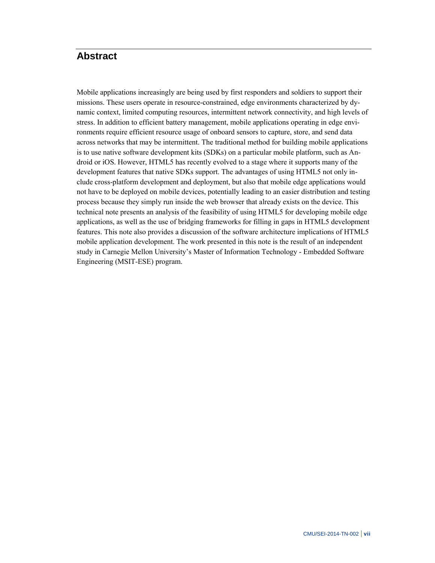## **Abstract**

Mobile applications increasingly are being used by first responders and soldiers to support their missions. These users operate in resource-constrained, edge environments characterized by dynamic context, limited computing resources, intermittent network connectivity, and high levels of stress. In addition to efficient battery management, mobile applications operating in edge environments require efficient resource usage of onboard sensors to capture, store, and send data across networks that may be intermittent. The traditional method for building mobile applications is to use native software development kits (SDKs) on a particular mobile platform, such as Android or iOS. However, HTML5 has recently evolved to a stage where it supports many of the development features that native SDKs support. The advantages of using HTML5 not only include cross-platform development and deployment, but also that mobile edge applications would not have to be deployed on mobile devices, potentially leading to an easier distribution and testing process because they simply run inside the web browser that already exists on the device. This technical note presents an analysis of the feasibility of using HTML5 for developing mobile edge applications, as well as the use of bridging frameworks for filling in gaps in HTML5 development features. This note also provides a discussion of the software architecture implications of HTML5 mobile application development. The work presented in this note is the result of an independent study in Carnegie Mellon University's Master of Information Technology - Embedded Software Engineering (MSIT-ESE) program.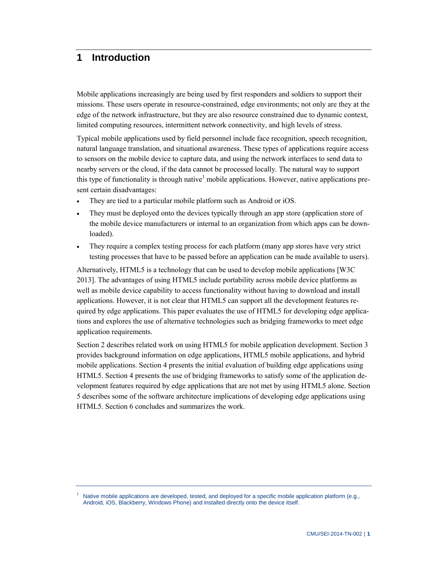## **1 Introduction**

Mobile applications increasingly are being used by first responders and soldiers to support their missions. These users operate in resource-constrained, edge environments; not only are they at the edge of the network infrastructure, but they are also resource constrained due to dynamic context, limited computing resources, intermittent network connectivity, and high levels of stress.

Typical mobile applications used by field personnel include face recognition, speech recognition, natural language translation, and situational awareness. These types of applications require access to sensors on the mobile device to capture data, and using the network interfaces to send data to nearby servers or the cloud, if the data cannot be processed locally. The natural way to support this type of functionality is through native<sup>1</sup> mobile applications. However, native applications present certain disadvantages:

- They are tied to a particular mobile platform such as Android or iOS.
- They must be deployed onto the devices typically through an app store (application store of the mobile device manufacturers or internal to an organization from which apps can be downloaded).
- They require a complex testing process for each platform (many app stores have very strict testing processes that have to be passed before an application can be made available to users).

Alternatively, HTML5 is a technology that can be used to develop mobile applications [W3C 2013]. The advantages of using HTML5 include portability across mobile device platforms as well as mobile device capability to access functionality without having to download and install applications. However, it is not clear that HTML5 can support all the development features required by edge applications. This paper evaluates the use of HTML5 for developing edge applications and explores the use of alternative technologies such as bridging frameworks to meet edge application requirements.

Section 2 describes related work on using HTML5 for mobile application development. Section 3 provides background information on edge applications, HTML5 mobile applications, and hybrid mobile applications. Section 4 presents the initial evaluation of building edge applications using HTML5. Section 4 presents the use of bridging frameworks to satisfy some of the application development features required by edge applications that are not met by using HTML5 alone. Section 5 describes some of the software architecture implications of developing edge applications using HTML5. Section 6 concludes and summarizes the work.

<sup>1</sup> Native mobile applications are developed, tested, and deployed for a specific mobile application platform (e.g., Android, iOS, Blackberry, Windows Phone) and installed directly onto the device itself.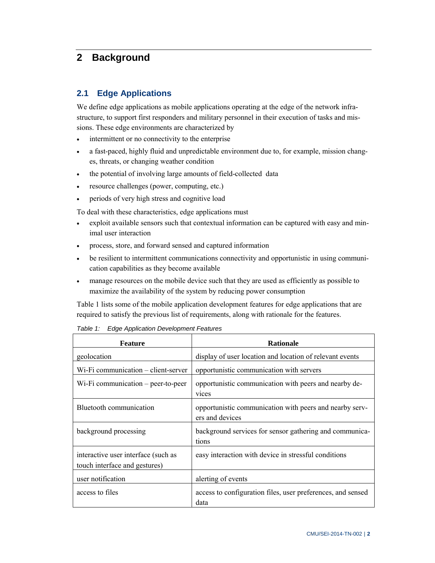## **2 Background**

#### **2.1 Edge Applications**

We define edge applications as mobile applications operating at the edge of the network infrastructure, to support first responders and military personnel in their execution of tasks and missions. These edge environments are characterized by

- intermittent or no connectivity to the enterprise
- a fast-paced, highly fluid and unpredictable environment due to, for example, mission changes, threats, or changing weather condition
- the potential of involving large amounts of field-collected data
- resource challenges (power, computing, etc.)
- periods of very high stress and cognitive load

To deal with these characteristics, edge applications must

- exploit available sensors such that contextual information can be captured with easy and minimal user interaction
- process, store, and forward sensed and captured information
- be resilient to intermittent communications connectivity and opportunistic in using communication capabilities as they become available
- manage resources on the mobile device such that they are used as efficiently as possible to maximize the availability of the system by reducing power consumption

Table 1 lists some of the mobile application development features for edge applications that are required to satisfy the previous list of requirements, along with rationale for the features.

| <b>Feature</b>                                                       | <b>Rationale</b>                                                           |
|----------------------------------------------------------------------|----------------------------------------------------------------------------|
| geolocation                                                          | display of user location and location of relevant events                   |
| Wi-Fi communication – client-server                                  | opportunistic communication with servers                                   |
| Wi-Fi communication $-$ peer-to-peer                                 | opportunistic communication with peers and nearby de-<br>vices             |
| Bluetooth communication                                              | opportunistic communication with peers and nearby serv-<br>ers and devices |
| background processing                                                | background services for sensor gathering and communica-<br>tions           |
| interactive user interface (such as<br>touch interface and gestures) | easy interaction with device in stressful conditions                       |
| user notification                                                    | alerting of events                                                         |
| access to files                                                      | access to configuration files, user preferences, and sensed<br>data        |

*Table 1: Edge Application Development Features*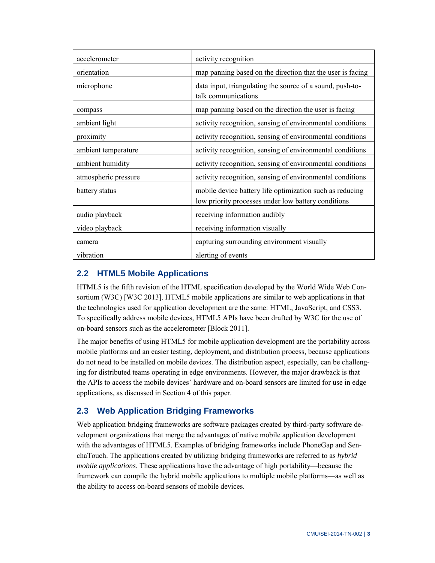| accelerometer        | activity recognition                                                                                            |
|----------------------|-----------------------------------------------------------------------------------------------------------------|
| orientation          | map panning based on the direction that the user is facing                                                      |
| microphone           | data input, triangulating the source of a sound, push-to-<br>talk communications                                |
| compass              | map panning based on the direction the user is facing                                                           |
| ambient light        | activity recognition, sensing of environmental conditions                                                       |
| proximity            | activity recognition, sensing of environmental conditions                                                       |
| ambient temperature  | activity recognition, sensing of environmental conditions                                                       |
| ambient humidity     | activity recognition, sensing of environmental conditions                                                       |
| atmospheric pressure | activity recognition, sensing of environmental conditions                                                       |
| battery status       | mobile device battery life optimization such as reducing<br>low priority processes under low battery conditions |
| audio playback       | receiving information audibly                                                                                   |
| video playback       | receiving information visually                                                                                  |
| camera               | capturing surrounding environment visually                                                                      |
| vibration            | alerting of events                                                                                              |

## **2.2 HTML5 Mobile Applications**

HTML5 is the fifth revision of the HTML specification developed by the World Wide Web Consortium (W3C) [W3C 2013]. HTML5 mobile applications are similar to web applications in that the technologies used for application development are the same: HTML, JavaScript, and CSS3. To specifically address mobile devices, HTML5 APIs have been drafted by W3C for the use of on-board sensors such as the accelerometer [Block 2011].

The major benefits of using HTML5 for mobile application development are the portability across mobile platforms and an easier testing, deployment, and distribution process, because applications do not need to be installed on mobile devices. The distribution aspect, especially, can be challenging for distributed teams operating in edge environments. However, the major drawback is that the APIs to access the mobile devices' hardware and on-board sensors are limited for use in edge applications, as discussed in Section 4 of this paper.

## **2.3 Web Application Bridging Frameworks**

Web application bridging frameworks are software packages created by third-party software development organizations that merge the advantages of native mobile application development with the advantages of HTML5. Examples of bridging frameworks include PhoneGap and SenchaTouch. The applications created by utilizing bridging frameworks are referred to as *hybrid mobile applications*. These applications have the advantage of high portability—because the framework can compile the hybrid mobile applications to multiple mobile platforms—as well as the ability to access on-board sensors of mobile devices.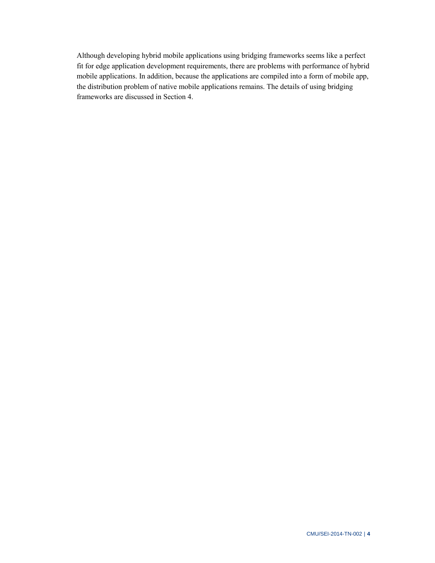Although developing hybrid mobile applications using bridging frameworks seems like a perfect fit for edge application development requirements, there are problems with performance of hybrid mobile applications. In addition, because the applications are compiled into a form of mobile app, the distribution problem of native mobile applications remains. The details of using bridging frameworks are discussed in Section 4.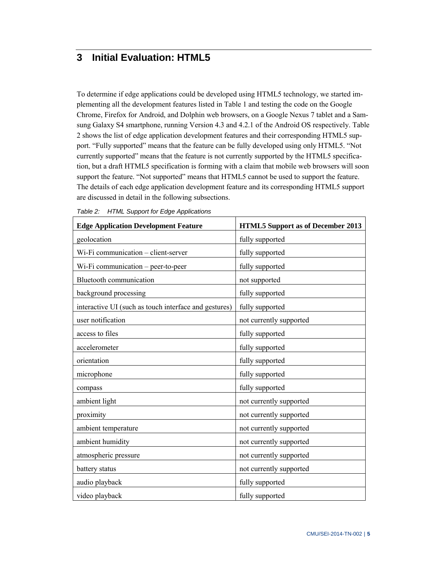## **3 Initial Evaluation: HTML5**

To determine if edge applications could be developed using HTML5 technology, we started implementing all the development features listed in Table 1 and testing the code on the Google Chrome, Firefox for Android, and Dolphin web browsers, on a Google Nexus 7 tablet and a Samsung Galaxy S4 smartphone, running Version 4.3 and 4.2.1 of the Android OS respectively. Table 2 shows the list of edge application development features and their corresponding HTML5 support. "Fully supported" means that the feature can be fully developed using only HTML5. "Not currently supported" means that the feature is not currently supported by the HTML5 specification, but a draft HTML5 specification is forming with a claim that mobile web browsers will soon support the feature. "Not supported" means that HTML5 cannot be used to support the feature. The details of each edge application development feature and its corresponding HTML5 support are discussed in detail in the following subsections.

| <b>Edge Application Development Feature</b>           | <b>HTML5</b> Support as of December 2013 |
|-------------------------------------------------------|------------------------------------------|
| geolocation                                           | fully supported                          |
| Wi-Fi communication - client-server                   | fully supported                          |
| Wi-Fi communication - peer-to-peer                    | fully supported                          |
| <b>Bluetooth communication</b>                        | not supported                            |
| background processing                                 | fully supported                          |
| interactive UI (such as touch interface and gestures) | fully supported                          |
| user notification                                     | not currently supported                  |
| access to files                                       | fully supported                          |
| accelerometer                                         | fully supported                          |
| orientation                                           | fully supported                          |
| microphone                                            | fully supported                          |
| compass                                               | fully supported                          |
| ambient light                                         | not currently supported                  |
| proximity                                             | not currently supported                  |
| ambient temperature                                   | not currently supported                  |
| ambient humidity                                      | not currently supported                  |
| atmospheric pressure                                  | not currently supported                  |
| battery status                                        | not currently supported                  |
| audio playback                                        | fully supported                          |
| video playback                                        | fully supported                          |

*Table 2: HTML Support for Edge Applications*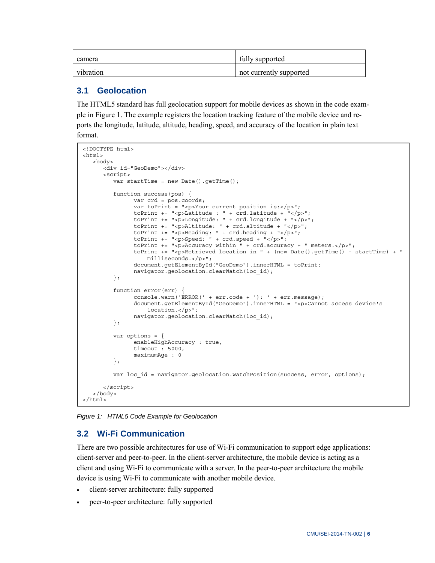| camera    | fully supported         |
|-----------|-------------------------|
| vibration | not currently supported |

#### **3.1 Geolocation**

The HTML5 standard has full geolocation support for mobile devices as shown in the code example in Figure 1. The example registers the location tracking feature of the mobile device and reports the longitude, latitude, altitude, heading, speed, and accuracy of the location in plain text format.

```
<!DOCTYPE html> 
<html> 
    <body> 
       <div id="GeoDemo"></div> 
       <script> 
         var startTime = new Date().getTime();
          function success(pos) { 
                var crd = pos.coords; 
               var toPrint = "<p>Your current position is:</p>";
               toPrint += "<p>Latitude : " + crd.latitude + "</p>";
               toPrint += "<p>Longitude: " + crd.longitude + "</p>";
                toPrint += "<p>Altitude: " + crd.altitude + "</p>"; 
               toPrint += "<p>Heading: " + crd.heading + "</p>";
               toPrint += "\text{-}speed: " + crd.speed + "\text{-}/p>";
               toPrint += "<p>Accuracy within " + crd.accuracy + " meters.</p>";
                toPrint += "<p>Retrieved location in " + (new Date().getTime() - startTime) + " 
                    milliseconds.</p>"; 
                document.getElementById("GeoDemo").innerHTML = toPrint; 
                navigator.geolocation.clearWatch(loc_id); 
          }; 
          function error(err) { 
                console.warn('ERROR(' + err.code + '): ' + err.message); 
                document.getElementById("GeoDemo").innerHTML = "<p>Cannot access device's 
                    location.</p>"; 
                navigator.geolocation.clearWatch(loc_id); 
          }; 
          var options = { 
                enableHighAccuracy : true, 
                timeout : 5000, 
                maximumAge : 0 
          }; 
         var loc id = navigator.geolocation.watchPosition(success, error, options);
       </script> 
    </body> 
</html>
```
*Figure 1: HTML5 Code Example for Geolocation* 

#### **3.2 Wi-Fi Communication**

There are two possible architectures for use of Wi-Fi communication to support edge applications: client-server and peer-to-peer. In the client-server architecture, the mobile device is acting as a client and using Wi-Fi to communicate with a server. In the peer-to-peer architecture the mobile device is using Wi-Fi to communicate with another mobile device.

- client-server architecture: fully supported
- peer-to-peer architecture: fully supported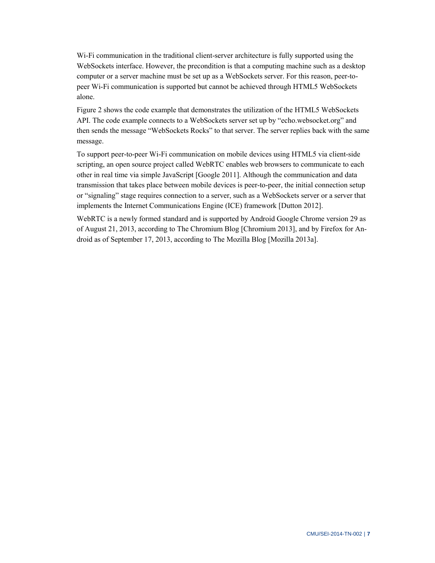Wi-Fi communication in the traditional client-server architecture is fully supported using the WebSockets interface. However, the precondition is that a computing machine such as a desktop computer or a server machine must be set up as a WebSockets server. For this reason, peer-topeer Wi-Fi communication is supported but cannot be achieved through HTML5 WebSockets alone.

Figure 2 shows the code example that demonstrates the utilization of the HTML5 WebSockets API. The code example connects to a WebSockets server set up by "echo.websocket.org" and then sends the message "WebSockets Rocks" to that server. The server replies back with the same message.

To support peer-to-peer Wi-Fi communication on mobile devices using HTML5 via client-side scripting, an open source project called WebRTC enables web browsers to communicate to each other in real time via simple JavaScript [Google 2011]. Although the communication and data transmission that takes place between mobile devices is peer-to-peer, the initial connection setup or "signaling" stage requires connection to a server, such as a WebSockets server or a server that implements the Internet Communications Engine (ICE) framework [Dutton 2012].

WebRTC is a newly formed standard and is supported by Android Google Chrome version 29 as of August 21, 2013, according to The Chromium Blog [Chromium 2013], and by Firefox for Android as of September 17, 2013, according to The Mozilla Blog [Mozilla 2013a].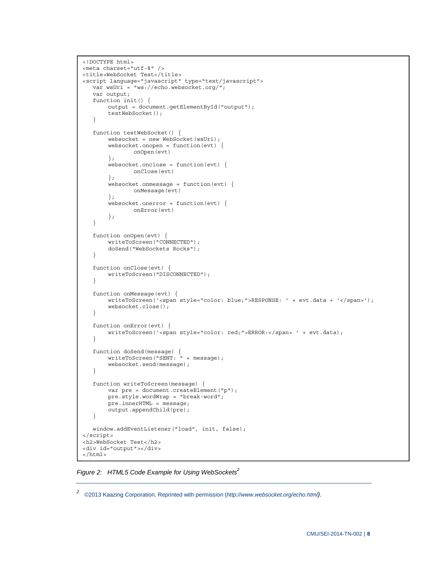```
<!DOCTYPE html> 
<meta charset="utf-8" /> 
<title>WebSocket Test</title>
<script language="javascript" type="text/javascript"> 
    var wsUri = "ws://echo.websocket.org/"; 
    var output; 
    function init() { 
        output = document.getElementById("output"); 
        testWebSocket(); 
    } 
    function testWebSocket() { 
       websocket = new WebSocket(wsUi);websocket.onopen = function(evt) {
                onOpen(evt) 
        }; 
        websocket.onclose = function(evt) {
                onClose(evt) 
         }; 
         websocket.onmessage = function(evt) { 
                onMessage(evt) 
         }; 
         websocket.onerror = function(evt) { 
                onError(evt) 
         }; 
    } 
    function onOpen(evt) { 
        writeToScreen("CONNECTED"); 
        doSend("WebSockets Rocks"); 
    } 
    function onClose(evt) { 
        writeToScreen("DISCONNECTED"); 
    } 
    function onMessage(evt) { 
       writeToScreen('<span style="color: blue;">RESPONSE: ' + evt.data + '</span>');
        websocket.close(); 
    } 
    function onError(evt) { 
       writeToScreen('<span style="color: red;">ERROR:</span> ' + evt.data);
    } 
    function doSend(message) { 
        writeToScreen("SENT: " + message); 
        websocket.send(message); 
    } 
    function writeToScreen(message) { 
       var pre = document.createElement("p");
        pre.style.wordWrap = "break-word"; 
        pre.innerHTML = message; 
        output.appendChild(pre); 
    } 
    window.addEventListener("load", init, false); 
</script> 
<h2>WebSocket Test</h2> 
<div id="output"></div> 
</html>
```
Figure 2: HTML5 Code Example for Using WebSockets<sup>2</sup>

*<sup>2</sup>* ©2013 Kaazing Corporation. Reprinted with permission (*[http://www.websocket.org/echo.html\).](http://www.websocket.org/echo.html)*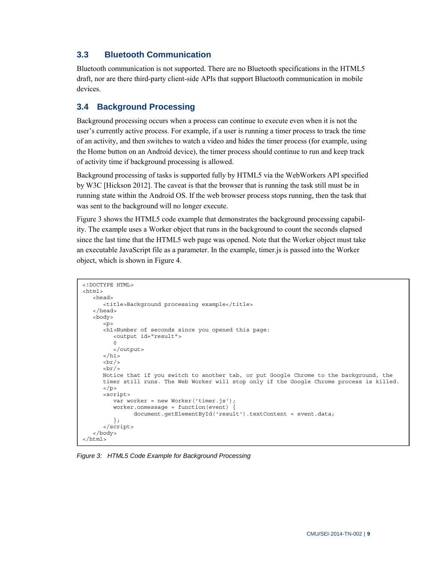## **3.3 Bluetooth Communication**

Bluetooth communication is not supported. There are no Bluetooth specifications in the HTML5 draft, nor are there third-party client-side APIs that support Bluetooth communication in mobile devices.

## **3.4 Background Processing**

Background processing occurs when a process can continue to execute even when it is not the user's currently active process. For example, if a user is running a timer process to track the time of an activity, and then switches to watch a video and hides the timer process (for example, using the Home button on an Android device), the timer process should continue to run and keep track of activity time if background processing is allowed.

Background processing of tasks is supported fully by HTML5 via the WebWorkers API specified by W3C [Hickson 2012]. The caveat is that the browser that is running the task still must be in running state within the Android OS. If the web browser process stops running, then the task that was sent to the background will no longer execute.

Figure 3 shows the HTML5 code example that demonstrates the background processing capability. The example uses a Worker object that runs in the background to count the seconds elapsed since the last time that the HTML5 web page was opened. Note that the Worker object must take an executable JavaScript file as a parameter. In the example, timer.js is passed into the Worker object, which is shown in Figure 4.

```
<!DOCTYPE HTML> 
<html> <head> 
       <title>Background processing example</title> 
    </head> 
    <body> 
      < p > <h1>Number of seconds since you opened this page: 
          <output id="result"> 
         \Omega </output> 
      \langleh1>
      br/br/ Notice that if you switch to another tab, or put Google Chrome to the background, the 
       timer still runs. The Web Worker will stop only if the Google Chrome process is killed. 
       </p> 
       <script> 
         var worker = new Worker('timer.js');
          worker.onmessage = function(event) { 
                document.getElementById('result').textContent = event.data; 
          }; 
       </script> 
    </body> 
</html>
```
*Figure 3: HTML5 Code Example for Background Processing*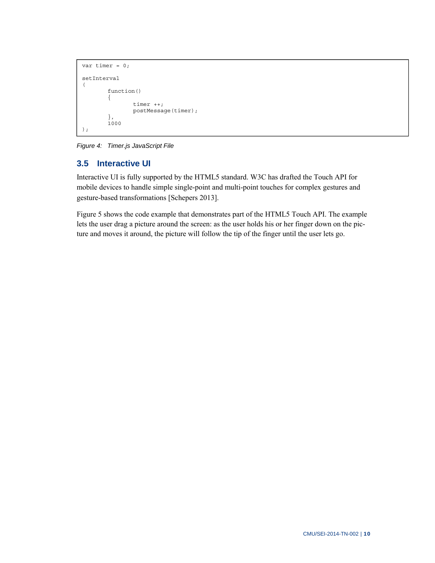```
var timer = 0; 
setInterval 
( 
          function() 
          { 
                    timer ++; 
                   postMessage(timer); 
          }, 
          1000 
);
```
*Figure 4: Timer.js JavaScript File* 

## **3.5 Interactive UI**

Interactive UI is fully supported by the HTML5 standard. W3C has drafted the Touch API for mobile devices to handle simple single-point and multi-point touches for complex gestures and gesture-based transformations [Schepers 2013].

Figure 5 shows the code example that demonstrates part of the HTML5 Touch API. The example lets the user drag a picture around the screen: as the user holds his or her finger down on the picture and moves it around, the picture will follow the tip of the finger until the user lets go.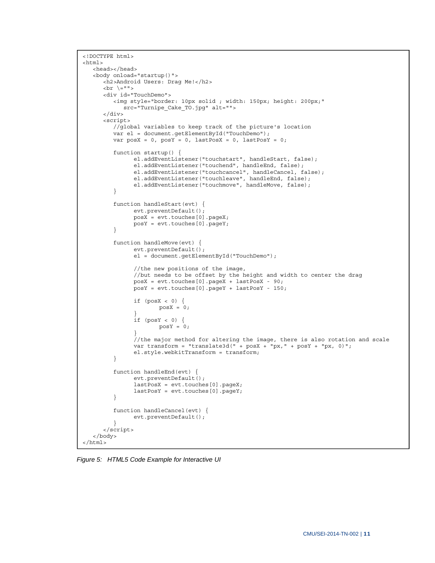```
<!DOCTYPE html> 
<html> <head></head> 
    <body onload="startup()"> 
      <h2>Android Users: Drag Me!</h2> 
       <br \=""> 
      <div id="TouchDemo"> 
         <img style="border: 10px solid ; width: 150px; height: 200px;" 
            src="Turnipe_Cake_TO.jpg" alt=""> 
       </div> 
       <script> 
          //global variables to keep track of the picture's location 
         var el = document.getElementById("TouchDemo"); 
        var posX = 0, posY = 0, lastPosX = 0, lastPosY = 0;
         function startup() { 
                el.addEventListener("touchstart", handleStart, false); 
                el.addEventListener("touchend", handleEnd, false); 
                el.addEventListener("touchcancel", handleCancel, false); 
 el.addEventListener("touchleave", handleEnd, false); 
 el.addEventListener("touchmove", handleMove, false); 
 } 
          function handleStart(evt) { 
                evt.preventDefault(); 
                posX = evt.touches[0].pageX; 
                posY = evt.touches[0].pageY; 
         } 
         function handleMove(evt) { 
                evt.preventDefault(); 
                el = document.getElementById("TouchDemo"); 
                //the new positions of the image, 
                //but needs to be offset by the height and width to center the drag 
                posX = evt.touches[0].pageX + lastPosX - 90; 
                posY = evt.touches[0].pageY + lastPosY - 150; 
               if (posX < 0) {
                      posX = 0; } 
               if (posY < 0) {
                      posY = 0; } 
                //the major method for altering the image, there is also rotation and scale 
               var transform = "translate3d(" + posX + "px," + posY + "px, 0)";
                el.style.webkitTransform = transform; 
         } 
         function handleEnd(evt) { 
                evt.preventDefault(); 
                lastPosX = evt.touches[0].pageX; 
                lastPosY = evt.touches[0].pageY; 
         } 
          function handleCancel(evt) { 
                evt.preventDefault(); 
 } 
       </script> 
   </body> 
</html>
```
*Figure 5: HTML5 Code Example for Interactive UI*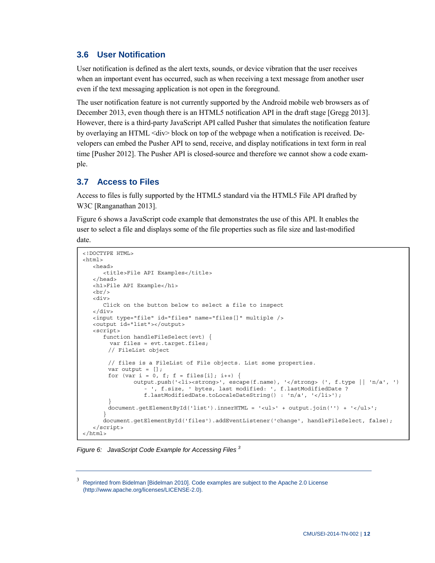#### **3.6 User Notification**

User notification is defined as the alert texts, sounds, or device vibration that the user receives when an important event has occurred, such as when receiving a text message from another user even if the text messaging application is not open in the foreground.

The user notification feature is not currently supported by the Android mobile web browsers as of December 2013, even though there is an HTML5 notification API in the draft stage [Gregg 2013]. However, there is a third-party JavaScript API called Pusher that simulates the notification feature by overlaying an HTML <div> block on top of the webpage when a notification is received. Developers can embed the Pusher API to send, receive, and display notifications in text form in real time [Pusher 2012]. The Pusher API is closed-source and therefore we cannot show a code example.

#### **3.7 Access to Files**

Access to files is fully supported by the HTML5 standard via the HTML5 File API drafted by W3C [Ranganathan 2013].

Figure 6 shows a JavaScript code example that demonstrates the use of this API. It enables the user to select a file and displays some of the file properties such as file size and last-modified date.

```
<!DOCTYPE HTML> 
<html>
    <head> 
      <title>File API Examples</title>
    </head> 
   <h1>File API Example</h1> 
  chr/s <div> 
       Click on the button below to select a file to inspect 
    </div> 
   <input type="file" id="files" name="files[]" multiple /> 
    <output id="list"></output> 
   <script> 
       function handleFileSelect(evt) { 
        var files = evt.target.files; 
        // FileList object 
        // files is a FileList of File objects. List some properties. 
       var output = [];
       for (var i = 0, f; f = files[i]; i++) {
                output.push('<li><strong>', escape(f.name), '</strong> (', f.type || 'n/a', ') 
                   - ', f.size, ' bytes, last modified: ', f.lastModifiedDate ? 
                   f.lastModifiedDate.toLocaleDateString() : 'n/a', '</li>'); 
 } 
       document.getElementById('list').innerHTML = '<ul>' + output.join('') + '</ul>';
 } 
       document.getElementById('files').addEventListener('change', handleFileSelect, false); 
    </script> 
</html>
```
*Figure 6: JavaScript Code Example for Accessing Files 3*

<sup>3</sup> Reprinted from Bidelman [Bidelman 2010]. Code examples are subject to the Apache 2.0 License ([http://www.apache.org/licenses/LICENSE-2.0\).](http://www.apache.org/licenses/LICENSE-2.0)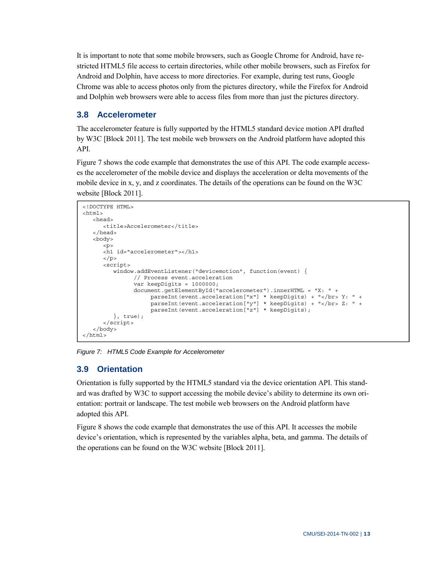It is important to note that some mobile browsers, such as Google Chrome for Android, have restricted HTML5 file access to certain directories, while other mobile browsers, such as Firefox for Android and Dolphin, have access to more directories. For example, during test runs, Google Chrome was able to access photos only from the pictures directory, while the Firefox for Android and Dolphin web browsers were able to access files from more than just the pictures directory.

## **3.8 Accelerometer**

The accelerometer feature is fully supported by the HTML5 standard device motion API drafted by W3C [Block 2011]. The test mobile web browsers on the Android platform have adopted this API.

Figure 7 shows the code example that demonstrates the use of this API. The code example accesses the accelerometer of the mobile device and displays the acceleration or delta movements of the mobile device in x, y, and z coordinates. The details of the operations can be found on the W3C website [Block 2011].

```
<!DOCTYPE HTML> 
<h+ml> <head> 
       <title>Accelerometer</title> 
    </head> 
    <body> 
      < p > <h1 id="accelerometer"></h1> 
      \langle/p>
       <script> 
          window.addEventListener("devicemotion", function(event) { 
                 // Process event.acceleration 
                 var keepDigits = 1000000; 
                 document.getElementById("accelerometer").innerHTML = "X: " + 
                      parseInt(event.acceleration["x"] * keepDigits) + "</br> Y: " + 
                     parseInt(event.acceleration["y"] * keepDigits) + "</br> Z: " +
                     parseInt(event.acceleration["z"] * keepDigits);
          }, true); 
       </script> 
    </body> 
</html>
```
*Figure 7: HTML5 Code Example for Accelerometer* 

## **3.9 Orientation**

Orientation is fully supported by the HTML5 standard via the device orientation API. This standard was drafted by W3C to support accessing the mobile device's ability to determine its own orientation: portrait or landscape. The test mobile web browsers on the Android platform have adopted this API.

Figure 8 shows the code example that demonstrates the use of this API. It accesses the mobile device's orientation, which is represented by the variables alpha, beta, and gamma. The details of the operations can be found on the W3C website [Block 2011].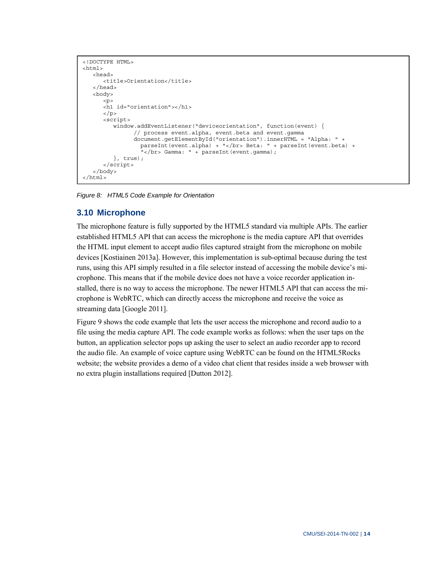```
<!DOCTYPE HTML> 
<html>
    <head> 
       <title>Orientation</title> 
    </head> 
    <body> 
      < p > <h1 id="orientation"></h1> 
       </p> 
       <script> 
         window.addEventListener("deviceorientation", function(event) {
                 // process event.alpha, event.beta and event.gamma 
                 document.getElementById("orientation").innerHTML = "Alpha: " + 
                   parseInt(event.alpha) + "</br> Beta: " + parseInt(event.beta) + 
                  " </br> Gamma: " + parseInt (event.gamma);
          }, true); 
       </script> 
    </body> 
</html>
```
*Figure 8: HTML5 Code Example for Orientation* 

#### **3.10 Microphone**

The microphone feature is fully supported by the HTML5 standard via multiple APIs. The earlier established HTML5 API that can access the microphone is the media capture API that overrides the HTML input element to accept audio files captured straight from the microphone on mobile devices [Kostiainen 2013a]. However, this implementation is sub-optimal because during the test runs, using this API simply resulted in a file selector instead of accessing the mobile device's microphone. This means that if the mobile device does not have a voice recorder application installed, there is no way to access the microphone. The newer HTML5 API that can access the microphone is WebRTC, which can directly access the microphone and receive the voice as streaming data [Google 2011].

Figure 9 shows the code example that lets the user access the microphone and record audio to a file using the media capture API. The code example works as follows: when the user taps on the button, an application selector pops up asking the user to select an audio recorder app to record the audio file. An example of voice capture using WebRTC can be found on the HTML5Rocks website; the website provides a demo of a video chat client that resides inside a web browser with no extra plugin installations required [Dutton 2012].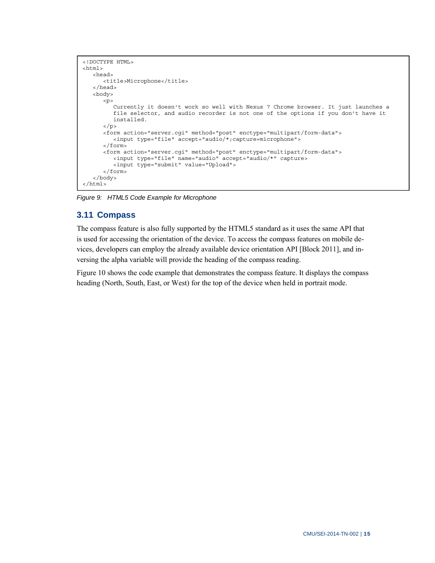```
<!DOCTYPE HTML> 
<html> <head> 
      <title>Microphone</title> 
    </head> 
    <body> 
      < p > Currently it doesn't work so well with Nexus 7 Chrome browser. It just launches a 
          file selector, and audio recorder is not one of the options if you don't have it 
          installed. 
      \langle p \rangle <form action="server.cgi" method="post" enctype="multipart/form-data"> 
          <input type="file" accept="audio/*;capture=microphone"> 
       </form> 
       <form action="server.cgi" method="post" enctype="multipart/form-data"> 
          <input type="file" name="audio" accept="audio/*" capture> 
          <input type="submit" value="Upload"> 
       </form> 
    </body> 
</html>
```
*Figure 9: HTML5 Code Example for Microphone* 

#### **3.11 Compass**

The compass feature is also fully supported by the HTML5 standard as it uses the same API that is used for accessing the orientation of the device. To access the compass features on mobile devices, developers can employ the already available device orientation API [Block 2011], and inversing the alpha variable will provide the heading of the compass reading.

Figure 10 shows the code example that demonstrates the compass feature. It displays the compass heading (North, South, East, or West) for the top of the device when held in portrait mode.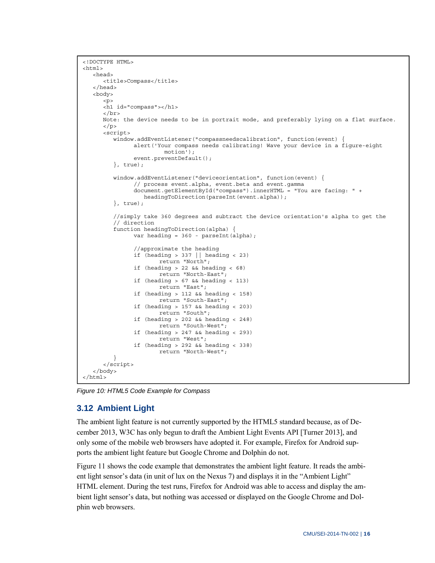```
<!DOCTYPE HTML> 
<html>
    <head> 
       <title>Compass</title> 
    </head> 
    <body> 
      < p > <h1 id="compass"></h1> 
      \langlebr>
       Note: the device needs to be in portrait mode, and preferably lying on a flat surface. 
       </p> 
       <script> 
          window.addEventListener("compassneedscalibration", function(event) { 
                alert('Your compass needs calibrating! Wave your device in a figure-eight 
                         motion'); 
               event.preventDefault();
          }, true); 
          window.addEventListener("deviceorientation", function(event) { 
                 // process event.alpha, event.beta and event.gamma 
                document.getElementById("compass").innerHTML = "You are facing: " + 
                  headingToDirection(parseInt(event.alpha));
          }, true); 
          //simply take 360 degrees and subtract the device orientation's alpha to get the 
          // direction 
          function headingToDirection(alpha) { 
               var heading = 360 - parseInt(alpha);
                 //approximate the heading 
               if (heading > 337 || heading < 23)
                       return "North"; 
                if (heading > 22 && heading < 68) 
                        return "North-East"; 
                if (heading > 67 && heading < 113) 
                       return "East"; 
                if (heading > 112 && heading < 158) 
                        return "South-East"; 
                if (heading > 157 && heading < 203) 
                        return "South"; 
                if (heading > 202 && heading < 248) 
                        return "South-West"; 
                if (heading > 247 && heading < 293) 
                        return "West"; 
                if (heading > 292 && heading < 338) 
                       return "North-West"; 
 } 
       </script> 
    </body> 
</html>
```
*Figure 10: HTML5 Code Example for Compass* 

#### **3.12 Ambient Light**

The ambient light feature is not currently supported by the HTML5 standard because, as of December 2013, W3C has only begun to draft the Ambient Light Events API [Turner 2013], and only some of the mobile web browsers have adopted it. For example, Firefox for Android supports the ambient light feature but Google Chrome and Dolphin do not.

Figure 11 shows the code example that demonstrates the ambient light feature. It reads the ambient light sensor's data (in unit of lux on the Nexus 7) and displays it in the "Ambient Light" HTML element. During the test runs, Firefox for Android was able to access and display the ambient light sensor's data, but nothing was accessed or displayed on the Google Chrome and Dolphin web browsers.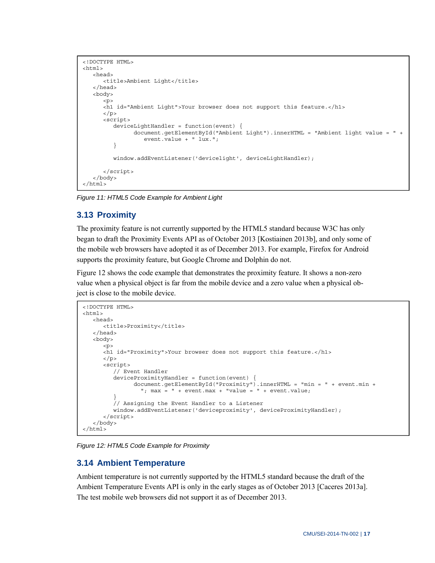```
<!DOCTYPE HTML> 
<html>
    <head> 
      <title>Ambient Light</title>
    </head> 
    <body> 
      < p > <h1 id="Ambient Light">Your browser does not support this feature.</h1> 
       </p> 
       <script> 
         deviceLightHandler = function(event) { 
                 document.getElementById("Ambient Light").innerHTML = "Ambient light value = " + 
                    event.value + " lux."; 
          } 
          window.addEventListener('devicelight', deviceLightHandler); 
       </script> 
    </body> 
</html>
```
*Figure 11: HTML5 Code Example for Ambient Light* 

### **3.13 Proximity**

The proximity feature is not currently supported by the HTML5 standard because W3C has only began to draft the Proximity Events API as of October 2013 [Kostiainen 2013b], and only some of the mobile web browsers have adopted it as of December 2013. For example, Firefox for Android supports the proximity feature, but Google Chrome and Dolphin do not.

Figure 12 shows the code example that demonstrates the proximity feature. It shows a non-zero value when a physical object is far from the mobile device and a zero value when a physical object is close to the mobile device.

```
<!DOCTYPE HTML> 
<html>
    <head> 
       <title>Proximity</title> 
    </head> 
    <body> 
      < p > <h1 id="Proximity">Your browser does not support this feature.</h1> 
      \langle/p>
       <script> 
          // Event Handler 
          deviceProximityHandler = function(event) { 
                document.getElementById("Proximity").innerHTML = "min = " + event.min + 
                  "; max = " + event.max + "value = " + event.value; } 
          // Assigning the Event Handler to a Listener 
          window.addEventListener('deviceproximity', deviceProximityHandler); 
       </script> 
    </body> 
</html>
```
*Figure 12: HTML5 Code Example for Proximity* 

#### **3.14 Ambient Temperature**

Ambient temperature is not currently supported by the HTML5 standard because the draft of the Ambient Temperature Events API is only in the early stages as of October 2013 [Caceres 2013a]. The test mobile web browsers did not support it as of December 2013.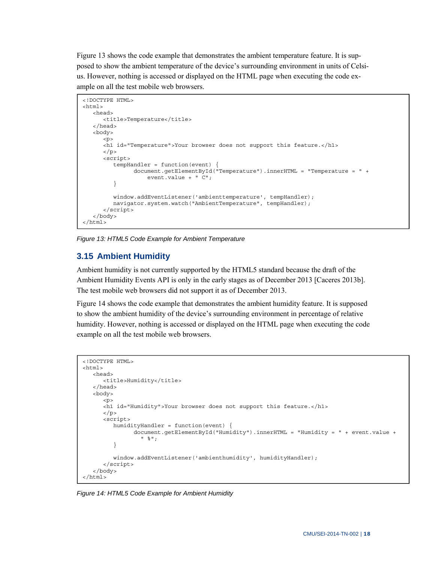Figure 13 shows the code example that demonstrates the ambient temperature feature. It is supposed to show the ambient temperature of the device's surrounding environment in units of Celsius. However, nothing is accessed or displayed on the HTML page when executing the code example on all the test mobile web browsers.

```
<!DOCTYPE HTML> 
<h+ml> <head> 
       <title>Temperature</title> 
    </head> 
    <body> 
      < p > <h1 id="Temperature">Your browser does not support this feature.</h1> 
      \langle/p>
       <script> 
          tempHandler = function(event) { 
                document.getElementById("Temperature").innerHTML = "Temperature = " + 
                    event.value + "\overline{C}";
          } 
          window.addEventListener('ambienttemperature', tempHandler); 
         navigator.system.watch("AmbientTemperature", tempHandler);
       </script> 
    </body> 
\epsilon/html>
```
*Figure 13: HTML5 Code Example for Ambient Temperature* 

## **3.15 Ambient Humidity**

Ambient humidity is not currently supported by the HTML5 standard because the draft of the Ambient Humidity Events API is only in the early stages as of December 2013 [Caceres 2013b]. The test mobile web browsers did not support it as of December 2013.

Figure 14 shows the code example that demonstrates the ambient humidity feature. It is supposed to show the ambient humidity of the device's surrounding environment in percentage of relative humidity. However, nothing is accessed or displayed on the HTML page when executing the code example on all the test mobile web browsers.

```
<!DOCTYPE HTML> 
<html> 
    <head> 
       <title>Humidity</title> 
    </head> 
    <body> 
      < p > <h1 id="Humidity">Your browser does not support this feature.</h1> 
      \langle p \rangle <script> 
          humidityHandler = function(event) { 
                  document.getElementById("Humidity").innerHTML = "Humidity = " + event.value + 
                    " %"; 
           } 
           window.addEventListener('ambienthumidity', humidityHandler); 
       </script> 
    </body> 
</html>
```
*Figure 14: HTML5 Code Example for Ambient Humidity*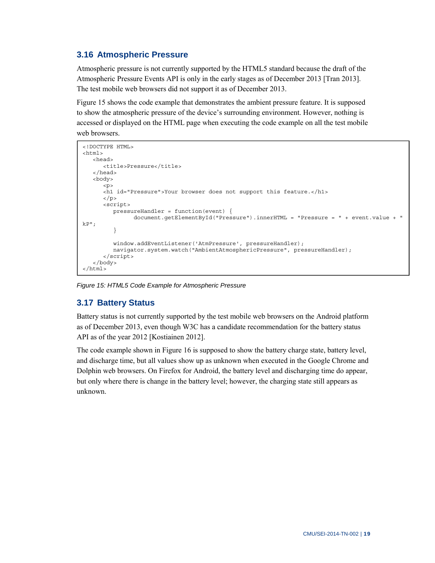### **3.16 Atmospheric Pressure**

Atmospheric pressure is not currently supported by the HTML5 standard because the draft of the Atmospheric Pressure Events API is only in the early stages as of December 2013 [Tran 2013]. The test mobile web browsers did not support it as of December 2013.

Figure 15 shows the code example that demonstrates the ambient pressure feature. It is supposed to show the atmospheric pressure of the device's surrounding environment. However, nothing is accessed or displayed on the HTML page when executing the code example on all the test mobile web browsers.

```
<!DOCTYPE HTML> 
<htm1 <head> 
       <title>Pressure</title> 
    </head> 
    <body> 
      < p > <h1 id="Pressure">Your browser does not support this feature.</h1> 
      \langle/p>
       <script> 
          pressureHandler = function(event) { 
                 document.getElementById("Pressure").innerHTML = "Pressure = " + event.value + " 
kP"; 
          } 
          window.addEventListener('AtmPressure', pressureHandler); 
          navigator.system.watch("AmbientAtmosphericPressure", pressureHandler); 
       </script> 
    </body> 
</html>
```
*Figure 15: HTML5 Code Example for Atmospheric Pressure* 

## **3.17 Battery Status**

Battery status is not currently supported by the test mobile web browsers on the Android platform as of December 2013, even though W3C has a candidate recommendation for the battery status API as of the year 2012 [Kostiainen 2012].

The code example shown in Figure 16 is supposed to show the battery charge state, battery level, and discharge time, but all values show up as unknown when executed in the Google Chrome and Dolphin web browsers. On Firefox for Android, the battery level and discharging time do appear, but only where there is change in the battery level; however, the charging state still appears as unknown.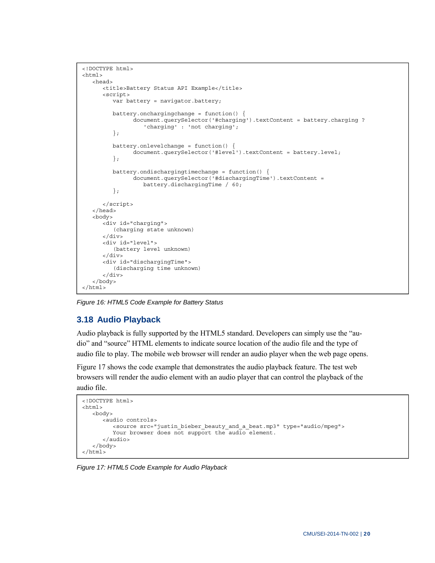```
<!DOCTYPE html> 
<html> 
   <head> 
      <title>Battery Status API Example</title>
       <script> 
          var battery = navigator.battery; 
          battery.onchargingchange = function() { 
                 document.querySelector('#charging').textContent = battery.charging ? 
                    'charging' : 'not charging'; 
          }; 
         battery.onlevelchange = function() {
                document.querySelector('#level').textContent = battery.level;
          }; 
          battery.ondischargingtimechange = function() { 
                 document.querySelector('#dischargingTime').textContent = 
                    battery.dischargingTime / 60; 
          }; 
       </script> 
    </head> 
    <body> 
       <div id="charging"> 
          (charging state unknown) 
       </div> 
       <div id="level"> 
          (battery level unknown) 
       </div> 
       <div id="dischargingTime"> 
          (discharging time unknown) 
       </div> 
    </body> 
</html>
```
*Figure 16: HTML5 Code Example for Battery Status* 

## **3.18 Audio Playback**

Audio playback is fully supported by the HTML5 standard. Developers can simply use the "audio" and "source" HTML elements to indicate source location of the audio file and the type of audio file to play. The mobile web browser will render an audio player when the web page opens.

Figure 17 shows the code example that demonstrates the audio playback feature. The test web browsers will render the audio element with an audio player that can control the playback of the audio file.

```
<!DOCTYPE html> 
<html> 
    <body> 
       <audio controls> 
          <source src="justin_bieber_beauty_and_a_beat.mp3" type="audio/mpeg"> 
         Your browser does not support the audio element.
       </audio> 
    </body> 
</html>
```
*Figure 17: HTML5 Code Example for Audio Playback*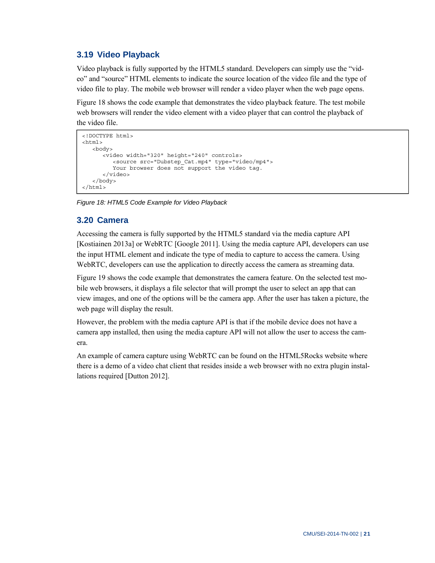## **3.19 Video Playback**

Video playback is fully supported by the HTML5 standard. Developers can simply use the "video" and "source" HTML elements to indicate the source location of the video file and the type of video file to play. The mobile web browser will render a video player when the web page opens.

Figure 18 shows the code example that demonstrates the video playback feature. The test mobile web browsers will render the video element with a video player that can control the playback of the video file.

```
<!DOCTYPE html> 
<html> 
   <body> 
       <video width="320" height="240" controls> 
          <source src="Dubstep_Cat.mp4" type="video/mp4"> 
          Your browser does not support the video tag. 
       </video> 
    </body> 
</html>
```
*Figure 18: HTML5 Code Example for Video Playback*

#### **3.20 Camera**

Accessing the camera is fully supported by the HTML5 standard via the media capture API [Kostiainen 2013a] or WebRTC [Google 2011]. Using the media capture API, developers can use the input HTML element and indicate the type of media to capture to access the camera. Using WebRTC, developers can use the application to directly access the camera as streaming data.

Figure 19 shows the code example that demonstrates the camera feature. On the selected test mobile web browsers, it displays a file selector that will prompt the user to select an app that can view images, and one of the options will be the camera app. After the user has taken a picture, the web page will display the result.

However, the problem with the media capture API is that if the mobile device does not have a camera app installed, then using the media capture API will not allow the user to access the camera.

An example of camera capture using WebRTC can be found on the HTML5Rocks website where there is a demo of a video chat client that resides inside a web browser with no extra plugin installations required [Dutton 2012].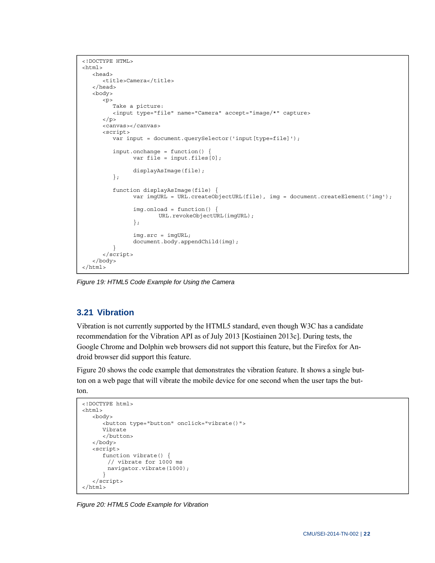```
<!DOCTYPE HTML> 
<html> 
   <head> 
       <title>Camera</title> 
    </head> 
    <body> 
      < p > Take a picture: 
          <input type="file" name="Camera" accept="image/*" capture> 
      \langle /p>
       <canvas></canvas> 
       <script> 
          var input = document.querySelector('input[type=file]'); 
         input.\nonchange = function()var file = input.files[0];
                 displayAsImage(file); 
          }; 
          function displayAsImage(file) { 
                 var imgURL = URL.createObjectURL(file), img = document.createElement('img'); 
                 img.onload = function() { 
                         URL.revokeObjectURL(imgURL); 
                 }; 
                 img.src = imgURL; 
                 document.body.appendChild(img); 
 } 
       </script> 
    </body> 
</html>
```
*Figure 19: HTML5 Code Example for Using the Camera* 

#### **3.21 Vibration**

Vibration is not currently supported by the HTML5 standard, even though W3C has a candidate recommendation for the Vibration API as of July 2013 [Kostiainen 2013c]. During tests, the Google Chrome and Dolphin web browsers did not support this feature, but the Firefox for Android browser did support this feature.

Figure 20 shows the code example that demonstrates the vibration feature. It shows a single button on a web page that will vibrate the mobile device for one second when the user taps the but-

ton.

```
<!DOCTYPE html> 
<html> 
    <body> 
       <button type="button" onclick="vibrate()"> 
       Vibrate 
       </button> 
    </body> 
    <script> 
       function vibrate() { 
         // vibrate for 1000 ms 
         navigator.vibrate(1000); 
       } 
    </script> 
</html>
```
*Figure 20: HTML5 Code Example for Vibration*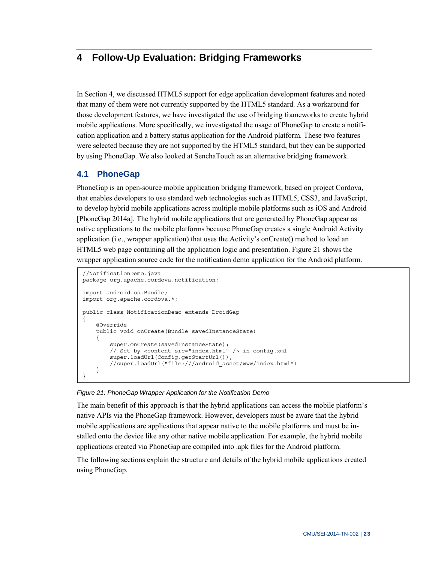## **4 Follow-Up Evaluation: Bridging Frameworks**

In Section 4, we discussed HTML5 support for edge application development features and noted that many of them were not currently supported by the HTML5 standard. As a workaround for those development features, we have investigated the use of bridging frameworks to create hybrid mobile applications. More specifically, we investigated the usage of PhoneGap to create a notification application and a battery status application for the Android platform. These two features were selected because they are not supported by the HTML5 standard, but they can be supported by using PhoneGap. We also looked at SenchaTouch as an alternative bridging framework.

## **4.1 PhoneGap**

PhoneGap is an open-source mobile application bridging framework, based on project Cordova, that enables developers to use standard web technologies such as HTML5, CSS3, and JavaScript, to develop hybrid mobile applications across multiple mobile platforms such as iOS and Android [PhoneGap 2014a]. The hybrid mobile applications that are generated by PhoneGap appear as native applications to the mobile platforms because PhoneGap creates a single Android Activity application (i.e., wrapper application) that uses the Activity's onCreate() method to load an HTML5 web page containing all the application logic and presentation. Figure 21 shows the wrapper application source code for the notification demo application for the Android platform.

```
//NotificationDemo.java 
package org.apache.cordova.notification; 
import android.os.Bundle; 
import org.apache.cordova.*; 
public class NotificationDemo extends DroidGap 
{ 
     @Override 
     public void onCreate(Bundle savedInstanceState) 
\{ super.onCreate(savedInstanceState); 
         // Set by <content src="index.html" /> in config.xml 
         super.loadUrl(Config.getStartUrl()); 
         //super.loadUrl("file:///android_asset/www/index.html") 
     } 
}
```
*Figure 21: PhoneGap Wrapper Application for the Notification Demo* 

The main benefit of this approach is that the hybrid applications can access the mobile platform's native APIs via the PhoneGap framework. However, developers must be aware that the hybrid mobile applications are applications that appear native to the mobile platforms and must be installed onto the device like any other native mobile application. For example, the hybrid mobile applications created via PhoneGap are compiled into .apk files for the Android platform.

The following sections explain the structure and details of the hybrid mobile applications created using PhoneGap.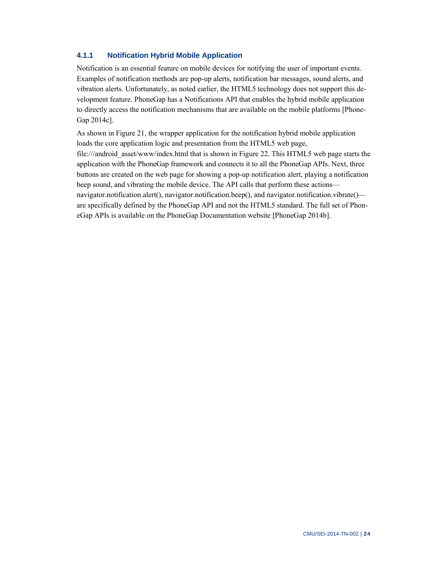#### **4.1.1 Notification Hybrid Mobile Application**

Notification is an essential feature on mobile devices for notifying the user of important events. Examples of notification methods are pop-up alerts, notification bar messages, sound alerts, and vibration alerts. Unfortunately, as noted earlier, the HTML5 technology does not support this development feature. PhoneGap has a Notifications API that enables the hybrid mobile application to directly access the notification mechanisms that are available on the mobile platforms [Phone-Gap 2014c].

As shown in Figure 21, the wrapper application for the notification hybrid mobile application loads the core application logic and presentation from the HTML5 web page, [file:///android\\_asset/www/index.html tha](file:///android_asset/www/index.html)t is shown in Figure 22. This HTML5 web page starts the application with the PhoneGap framework and connects it to all the PhoneGap APIs. Next, three buttons are created on the web page for showing a pop-up notification alert, playing a notification beep sound, and vibrating the mobile device. The API calls that perform these actions navigator.notification.alert(), navigator.notification.beep(), and navigator.notification.vibrate() are specifically defined by the PhoneGap API and not the HTML5 standard. The full set of PhoneGap APIs is available on the PhoneGap Documentation website [PhoneGap 2014b].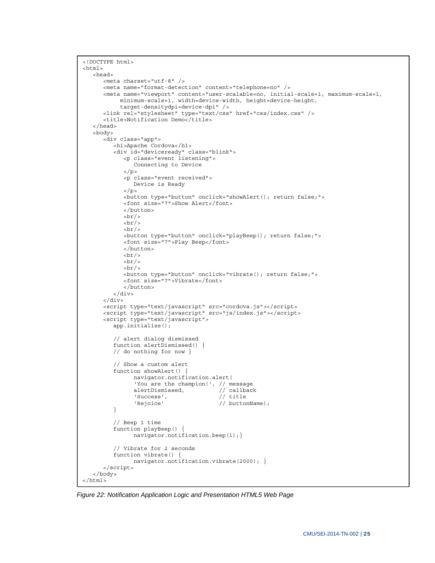```
<!DOCTYPE html> 
<html>
    <head> 
       <meta charset="utf-8" /> 
       <meta name="format-detection" content="telephone=no" /> 
       <meta name="viewport" content="user-scalable=no, initial-scale=1, maximum-scale=1, 
            minimum-scale=1, width=device-width, height=device-height, 
            target-densitydpi=device-dpi" /> 
       <link rel="stylesheet" type="text/css" href="css/index.css" /> 
      <title>Notification Demo</title>
    </head> 
    <body> 
       <div class="app"> 
          <h1>Apache Cordova</h1> 
          <div id="deviceready" class="blink"> 
             <p class="event listening"> 
                 Connecting to Device 
             </p> 
             <p class="event received"> 
                Device is Ready 
            \langle/p>
             <button type="button" onclick="showAlert(); return false;"> 
             <font size="7">Show Alert</font> 
              </button> 
            br/br/br/ <button type="button" onclick="playBeep(); return false;"> 
             <font size="7">Play Beep</font> 
             </button> 
             br/\frac{1}{2}br/ <button type="button" onclick="vibrate(); return false;"> 
              <font size="7">Vibrate</font> 
              </button> 
          </div> 
       </div> 
       <script type="text/javascript" src="cordova.js"></script> 
       <script type="text/javascript" src="js/index.js"></script> 
       <script type="text/javascript"> 
          app.initialize(); 
          // alert dialog dismissed 
          function alertDismissed() { 
          // do nothing for now } 
          // Show a custom alert 
         function showAlert() {
                 navigator.notification.alert( 
                'You are the champion!', // message<br>alertDismissed, // callback
                alertDismissed,
                'Success', \frac{1}{\sqrt{1 + \text{title}}}}'Rejoice' // buttonName);
          } 
          // Beep 1 time 
          function playBeep() { 
                navigator.notification.beep(1);} 
          // Vibrate for 2 seconds 
          function vibrate() { 
                 navigator.notification.vibrate(2000); } 
       </script> 
    </body> 
</html>
```
*Figure 22: Notification Application Logic and Presentation HTML5 Web Page*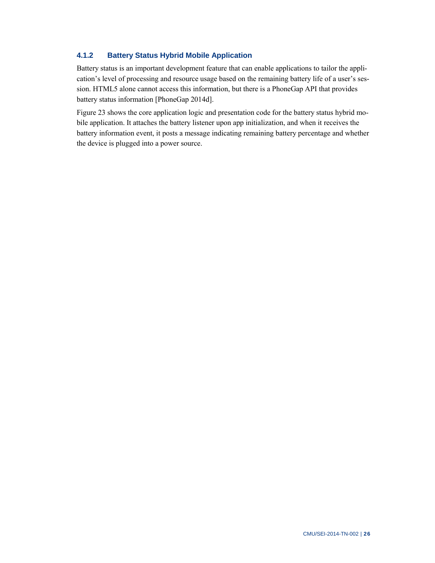#### **4.1.2 Battery Status Hybrid Mobile Application**

Battery status is an important development feature that can enable applications to tailor the application's level of processing and resource usage based on the remaining battery life of a user's session. HTML5 alone cannot access this information, but there is a PhoneGap API that provides battery status information [PhoneGap 2014d].

Figure 23 shows the core application logic and presentation code for the battery status hybrid mobile application. It attaches the battery listener upon app initialization, and when it receives the battery information event, it posts a message indicating remaining battery percentage and whether the device is plugged into a power source.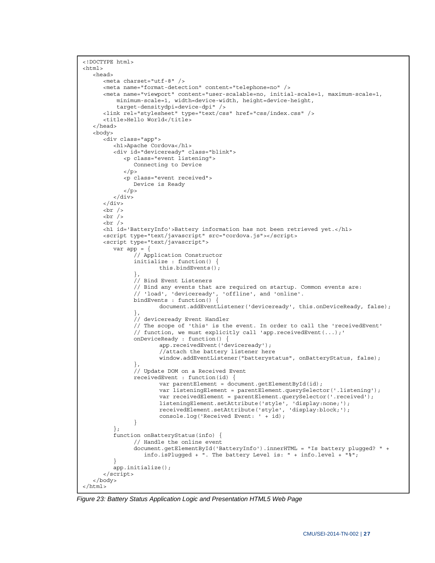```
<!DOCTYPE html> 
<html>
   <head> 
      <meta charset="utf-8" /> 
      <meta name="format-detection" content="telephone=no" /> 
      <meta name="viewport" content="user-scalable=no, initial-scale=1, maximum-scale=1, 
          minimum-scale=1, width=device-width, height=device-height, 
          target-densitydpi=device-dpi" /> 
      <link rel="stylesheet" type="text/css" href="css/index.css" /> 
     <title>Hello World</title>
   </head> 
   <body> 
      <div class="app"> 
         <h1>Apache Cordova</h1> 
         <div id="deviceready" class="blink"> 
            <p class="event listening"> 
               Connecting to Device 
           \langle p \rangle <p class="event received"> 
               Device is Ready 
           \langle/p>
        \langlediv>
      </div> 
     br />
     br />
     br />
      <h1 id='BatteryInfo'>Battery information has not been retrieved yet.</h1> 
      <script type="text/javascript" src="cordova.js"></script> 
      <script type="text/javascript"> 
        var app = {
                // Application Constructor 
               initialize : function() { 
                       this.bindEvents(); 
 }, 
                // Bind Event Listeners 
                // Bind any events that are required on startup. Common events are: 
 // 'load', 'deviceready', 'offline', and 'online'. 
 bindEvents : function() { 
                      document.addEventListener('deviceready', this.onDeviceReady, false);
 }, 
                // deviceready Event Handler 
                // The scope of 'this' is the event. In order to call the 'receivedEvent' 
               // function, we must explicitly call 'app.receivedEvent(...);' 
               onDeviceReady : function() { 
                       app.receivedEvent('deviceready'); 
                       //attach the battery listener here 
                       window.addEventListener("batterystatus", onBatteryStatus, false); 
 }, 
                // Update DOM on a Received Event 
               receivedEvent : function(id) { 
                       var parentElement = document.getElementById(id); 
                       var listeningElement = parentElement.querySelector('.listening'); 
                      var receivedElement = parentElement.querySelector('.received');
 listeningElement.setAttribute('style', 'display:none;'); 
 receivedElement.setAttribute('style', 'display:block;'); 
                       console.log('Received Event: ' + id); 
 } 
         }; 
         function onBatteryStatus(info) { 
               // Handle the online event 
               document.getElementById('BatteryInfo').innerHTML = "Is battery plugged? " + 
                  info.isPlugged + ". The battery Level is: " + info.level + "%"; 
 } 
         app.initialize(); 
      </script> 
   </body> 
</html>
```
*Figure 23: Battery Status Application Logic and Presentation HTML5 Web Page*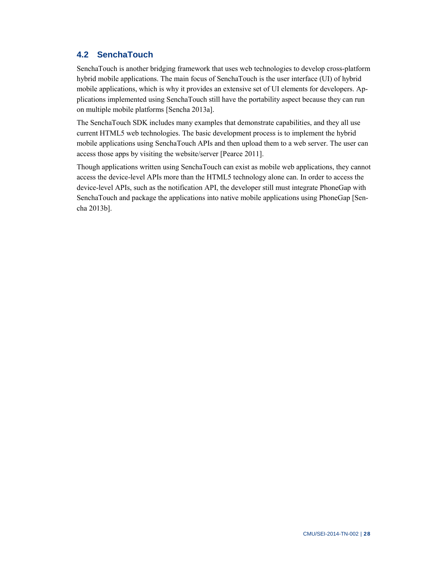### **4.2 SenchaTouch**

SenchaTouch is another bridging framework that uses web technologies to develop cross-platform hybrid mobile applications. The main focus of SenchaTouch is the user interface (UI) of hybrid mobile applications, which is why it provides an extensive set of UI elements for developers. Applications implemented using SenchaTouch still have the portability aspect because they can run on multiple mobile platforms [Sencha 2013a].

The SenchaTouch SDK includes many examples that demonstrate capabilities, and they all use current HTML5 web technologies. The basic development process is to implement the hybrid mobile applications using SenchaTouch APIs and then upload them to a web server. The user can access those apps by visiting the website/server [Pearce 2011].

Though applications written using SenchaTouch can exist as mobile web applications, they cannot access the device-level APIs more than the HTML5 technology alone can. In order to access the device-level APIs, such as the notification API, the developer still must integrate PhoneGap with SenchaTouch and package the applications into native mobile applications using PhoneGap [Sencha 2013b].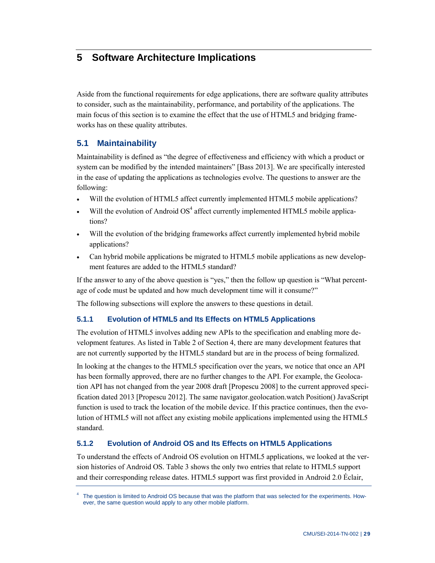## **5 Software Architecture Implications**

Aside from the functional requirements for edge applications, there are software quality attributes to consider, such as the maintainability, performance, and portability of the applications. The main focus of this section is to examine the effect that the use of HTML5 and bridging frameworks has on these quality attributes.

#### **5.1 Maintainability**

Maintainability is defined as "the degree of effectiveness and efficiency with which a product or system can be modified by the intended maintainers" [Bass 2013]. We are specifically interested in the ease of updating the applications as technologies evolve. The questions to answer are the following:

- Will the evolution of HTML5 affect currently implemented HTML5 mobile applications?
- $\bullet$  Will the evolution of Android OS<sup>4</sup> affect currently implemented HTML5 mobile applications?
- Will the evolution of the bridging frameworks affect currently implemented hybrid mobile applications?
- Can hybrid mobile applications be migrated to HTML5 mobile applications as new development features are added to the HTML5 standard?

If the answer to any of the above question is "yes," then the follow up question is "What percentage of code must be updated and how much development time will it consume?"

The following subsections will explore the answers to these questions in detail.

#### **5.1.1 Evolution of HTML5 and Its Effects on HTML5 Applications**

The evolution of HTML5 involves adding new APIs to the specification and enabling more development features. As listed in Table 2 of Section 4, there are many development features that are not currently supported by the HTML5 standard but are in the process of being formalized.

In looking at the changes to the HTML5 specification over the years, we notice that once an API has been formally approved, there are no further changes to the API. For example, the Geolocation API has not changed from the year 2008 draft [Propescu 2008] to the current approved specification dated 2013 [Propescu 2012]. The same navigator.geolocation.watch Position() JavaScript function is used to track the location of the mobile device. If this practice continues, then the evolution of HTML5 will not affect any existing mobile applications implemented using the HTML5 standard.

#### **5.1.2 Evolution of Android OS and Its Effects on HTML5 Applications**

To understand the effects of Android OS evolution on HTML5 applications, we looked at the version histories of Android OS. Table 3 shows the only two entries that relate to HTML5 support and their corresponding release dates. HTML5 support was first provided in Android 2.0 Éclair,

<sup>4</sup> The question is limited to Android OS because that was the platform that was selected for the experiments. However, the same question would apply to any other mobile platform.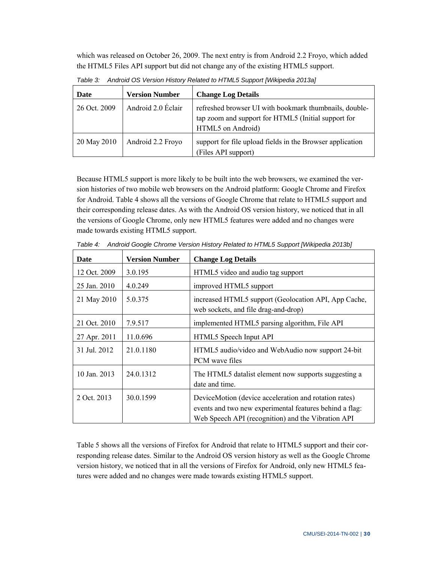which was released on October 26, 2009. The next entry is from Android 2.2 Froyo, which added the HTML5 Files API support but did not change any of the existing HTML5 support.

| Date         | <b>Version Number</b> | <b>Change Log Details</b>                                                                                                          |
|--------------|-----------------------|------------------------------------------------------------------------------------------------------------------------------------|
| 26 Oct. 2009 | Android 2.0 Eclair    | refreshed browser UI with bookmark thumbnails, double-<br>tap zoom and support for HTML5 (Initial support for<br>HTML5 on Android) |
| 20 May 2010  | Android 2.2 Froyo     | support for file upload fields in the Browser application<br>(Files API support)                                                   |

*Table 3: Android OS Version History Related to HTML5 Support [Wikipedia 2013a]* 

Because HTML5 support is more likely to be built into the web browsers, we examined the version histories of two mobile web browsers on the Android platform: Google Chrome and Firefox for Android. Table 4 shows all the versions of Google Chrome that relate to HTML5 support and their corresponding release dates. As with the Android OS version history, we noticed that in all the versions of Google Chrome, only new HTML5 features were added and no changes were made towards existing HTML5 support.

| Date         | <b>Version Number</b> | <b>Change Log Details</b>                                                                                                                                              |  |
|--------------|-----------------------|------------------------------------------------------------------------------------------------------------------------------------------------------------------------|--|
| 12 Oct. 2009 | 3.0.195               | HTML5 video and audio tag support                                                                                                                                      |  |
| 25 Jan. 2010 | 4.0.249               | improved HTML5 support                                                                                                                                                 |  |
| 21 May 2010  | 5.0.375               | increased HTML5 support (Geolocation API, App Cache,<br>web sockets, and file drag-and-drop)                                                                           |  |
| 21 Oct. 2010 | 7.9.517               | implemented HTML5 parsing algorithm, File API                                                                                                                          |  |
| 27 Apr. 2011 | 11.0.696              | HTML5 Speech Input API                                                                                                                                                 |  |
| 31 Jul. 2012 | 21.0.1180             | HTML5 audio/video and WebAudio now support 24-bit<br>PCM wave files                                                                                                    |  |
| 10 Jan. 2013 | 24.0.1312             | The HTML5 datalist element now supports suggesting a<br>date and time.                                                                                                 |  |
| 2 Oct. 2013  | 30.0.1599             | DeviceMotion (device acceleration and rotation rates)<br>events and two new experimental features behind a flag:<br>Web Speech API (recognition) and the Vibration API |  |

Table 4: Android Google Chrome Version History Related to HTML5 Support [Wikipedia 2013b]

Table 5 shows all the versions of Firefox for Android that relate to HTML5 support and their corresponding release dates. Similar to the Android OS version history as well as the Google Chrome version history, we noticed that in all the versions of Firefox for Android, only new HTML5 features were added and no changes were made towards existing HTML5 support.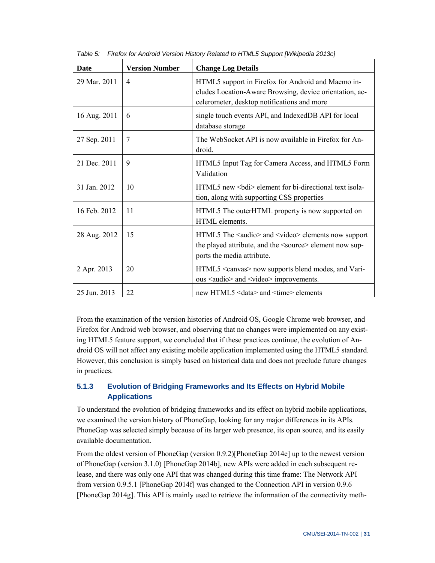| <b>Date</b>  | <b>Version Number</b> | <b>Change Log Details</b>                                                                                                                                      |
|--------------|-----------------------|----------------------------------------------------------------------------------------------------------------------------------------------------------------|
| 29 Mar. 2011 | $\overline{4}$        | HTML5 support in Firefox for Android and Maemo in-<br>cludes Location-Aware Browsing, device orientation, ac-<br>celerometer, desktop notifications and more   |
| 16 Aug. 2011 | 6                     | single touch events API, and IndexedDB API for local<br>database storage                                                                                       |
| 27 Sep. 2011 | 7                     | The WebSocket API is now available in Firefox for An-<br>droid.                                                                                                |
| 21 Dec. 2011 | 9                     | HTML5 Input Tag for Camera Access, and HTML5 Form<br>Validation                                                                                                |
| 31 Jan. 2012 | 10                    | HTML5 new<br>bdi> element for bi-directional text isola-<br>tion, along with supporting CSS properties                                                         |
| 16 Feb. 2012 | 11                    | HTML5 The outerHTML property is now supported on<br>HTML elements.                                                                                             |
| 28 Aug. 2012 | 15                    | HTML5 The <audio> and <video> elements now support<br/>the played attribute, and the <source/> element now sup-<br/>ports the media attribute.</video></audio> |
| 2 Apr. 2013  | 20                    | HTML5 <canvas> now supports blend modes, and Vari-<br/>ous <audio> and <video> improvements.</video></audio></canvas>                                          |
| 25 Jun. 2013 | 22                    | new HTML5 <data> and <time> elements</time></data>                                                                                                             |

Table 5: Firefox for Android Version History Related to HTML5 Support [Wikipedia 2013c]

From the examination of the version histories of Android OS, Google Chrome web browser, and Firefox for Android web browser, and observing that no changes were implemented on any existing HTML5 feature support, we concluded that if these practices continue, the evolution of Android OS will not affect any existing mobile application implemented using the HTML5 standard. However, this conclusion is simply based on historical data and does not preclude future changes in practices.

#### **5.1.3 Evolution of Bridging Frameworks and Its Effects on Hybrid Mobile Applications**

To understand the evolution of bridging frameworks and its effect on hybrid mobile applications, we examined the version history of PhoneGap, looking for any major differences in its APIs. PhoneGap was selected simply because of its larger web presence, its open source, and its easily available documentation.

From the oldest version of PhoneGap (version 0.9.2)[PhoneGap 2014e] up to the newest version of PhoneGap (version 3.1.0) [PhoneGap 2014b], new APIs were added in each subsequent release, and there was only one API that was changed during this time frame: The Network API from version 0.9.5.1 [PhoneGap 2014f] was changed to the Connection API in version 0.9.6 [PhoneGap 2014g]. This API is mainly used to retrieve the information of the connectivity meth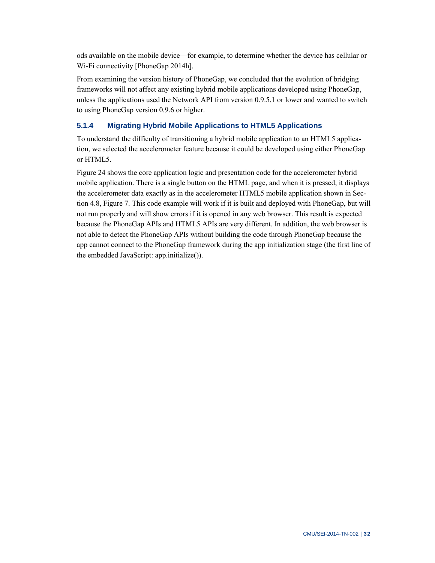ods available on the mobile device—for example, to determine whether the device has cellular or Wi-Fi connectivity [PhoneGap 2014h].

From examining the version history of PhoneGap, we concluded that the evolution of bridging frameworks will not affect any existing hybrid mobile applications developed using PhoneGap, unless the applications used the Network API from version 0.9.5.1 or lower and wanted to switch to using PhoneGap version 0.9.6 or higher.

### **5.1.4 Migrating Hybrid Mobile Applications to HTML5 Applications**

To understand the difficulty of transitioning a hybrid mobile application to an HTML5 application, we selected the accelerometer feature because it could be developed using either PhoneGap or HTML5.

Figure 24 shows the core application logic and presentation code for the accelerometer hybrid mobile application. There is a single button on the HTML page, and when it is pressed, it displays the accelerometer data exactly as in the accelerometer HTML5 mobile application shown in Section 4.8, Figure 7. This code example will work if it is built and deployed with PhoneGap, but will not run properly and will show errors if it is opened in any web browser. This result is expected because the PhoneGap APIs and HTML5 APIs are very different. In addition, the web browser is not able to detect the PhoneGap APIs without building the code through PhoneGap because the app cannot connect to the PhoneGap framework during the app initialization stage (the first line of the embedded JavaScript: app.initialize()).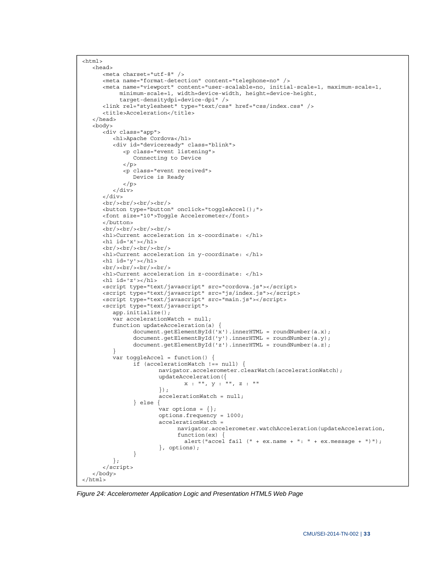```
<h+ml> <head> 
       <meta charset="utf-8" /> 
       <meta name="format-detection" content="telephone=no" /> 
       <meta name="viewport" content="user-scalable=no, initial-scale=1, maximum-scale=1, 
            minimum-scale=1, width=device-width, height=device-height, 
            target-densitydpi=device-dpi" /> 
       <link rel="stylesheet" type="text/css" href="css/index.css" /> 
       <title>Acceleration</title> 
    </head> 
    <body> 
       <div class="app"> 
          <h1>Apache Cordova</h1> 
          <div id="deviceready" class="blink"> 
             <p class="event listening"> 
                 Connecting to Device 
             </p> 
             <p class="event received"> 
                Device is Ready 
            \langle/p>
          </div> 
       </div> 
      \braket{\text{br}} > \braket{\text{br}} > \braket{\text{br}} <button type="button" onclick="toggleAccel();"> 
       <font size="10">Toggle Accelerometer</font> 
       </button> 
       <br/><br/><br/><br/> 
       <h1>Current acceleration in x-coordinate: </h1> 
       <h1 id='x'></h1> 
       <br/><br/><br/><br/> 
       <h1>Current acceleration in y-coordinate: </h1> 
       <h1 id='y'></h1> 
       <br/><br/><br/><br/> 
       <h1>Current acceleration in z-coordinate: </h1> 
       <h1 id='z'></h1> 
       <script type="text/javascript" src="cordova.js"></script> 
 <script type="text/javascript" src="js/index.js"></script> 
 <script type="text/javascript" src="main.js"></script> 
       <script type="text/javascript"> 
          app.initialize(); 
          var accelerationWatch = null; 
          function updateAcceleration(a) { 
                document.getElementById('x').innerHTML = roundNumber(a.x);
                document.getElementById('y').innerHTML = roundNumber(a.y);
                 document.getElementById('z').innerHTML = roundNumber(a.z); 
          } 
         var toggleAccel = function() \{ if (accelerationWatch !== null) { 
                         navigator.accelerometer.clearWatch(accelerationWatch); 
                         updateAcceleration({ 
                                 x : "", y : "", z : "" 
                         }); 
                         accelerationWatch = null; 
                 } else { 
                        var options = \{\};
                         options.frequency = 1000; 
                         accelerationWatch = 
                               navigator.accelerometer.watchAcceleration(updateAcceleration, 
                               function(ex) { 
                                alert("accel fail (" + ex.name + ": " + ex.message + ")");
                         }, options); 
 } 
          }; 
       </script> 
    </body> 
</html>
```
*Figure 24: Accelerometer Application Logic and Presentation HTML5 Web Page*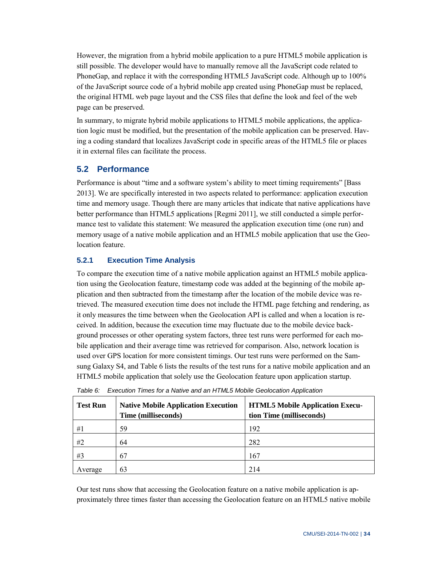However, the migration from a hybrid mobile application to a pure HTML5 mobile application is still possible. The developer would have to manually remove all the JavaScript code related to PhoneGap, and replace it with the corresponding HTML5 JavaScript code. Although up to 100% of the JavaScript source code of a hybrid mobile app created using PhoneGap must be replaced, the original HTML web page layout and the CSS files that define the look and feel of the web page can be preserved.

In summary, to migrate hybrid mobile applications to HTML5 mobile applications, the application logic must be modified, but the presentation of the mobile application can be preserved. Having a coding standard that localizes JavaScript code in specific areas of the HTML5 file or places it in external files can facilitate the process.

#### **5.2 Performance**

Performance is about "time and a software system's ability to meet timing requirements" [Bass 2013]. We are specifically interested in two aspects related to performance: application execution time and memory usage. Though there are many articles that indicate that native applications have better performance than HTML5 applications [Regmi 2011], we still conducted a simple performance test to validate this statement: We measured the application execution time (one run) and memory usage of a native mobile application and an HTML5 mobile application that use the Geolocation feature.

#### **5.2.1 Execution Time Analysis**

To compare the execution time of a native mobile application against an HTML5 mobile application using the Geolocation feature, timestamp code was added at the beginning of the mobile application and then subtracted from the timestamp after the location of the mobile device was retrieved. The measured execution time does not include the HTML page fetching and rendering, as it only measures the time between when the Geolocation API is called and when a location is received. In addition, because the execution time may fluctuate due to the mobile device background processes or other operating system factors, three test runs were performed for each mobile application and their average time was retrieved for comparison. Also, network location is used over GPS location for more consistent timings. Our test runs were performed on the Samsung Galaxy S4, and Table 6 lists the results of the test runs for a native mobile application and an HTML5 mobile application that solely use the Geolocation feature upon application startup.

| <b>Test Run</b> | <b>Native Mobile Application Execution</b><br>Time (milliseconds) | <b>HTML5 Mobile Application Execu-</b><br>tion Time (milliseconds) |
|-----------------|-------------------------------------------------------------------|--------------------------------------------------------------------|
| #1              | 59                                                                | 192                                                                |
| #2              | 64                                                                | 282                                                                |
| #3              | 67                                                                | 167                                                                |
| Average         | 63                                                                | 214                                                                |

*Table 6: Execution Times for a Native and an HTML5 Mobile Geolocation Application* 

Our test runs show that accessing the Geolocation feature on a native mobile application is approximately three times faster than accessing the Geolocation feature on an HTML5 native mobile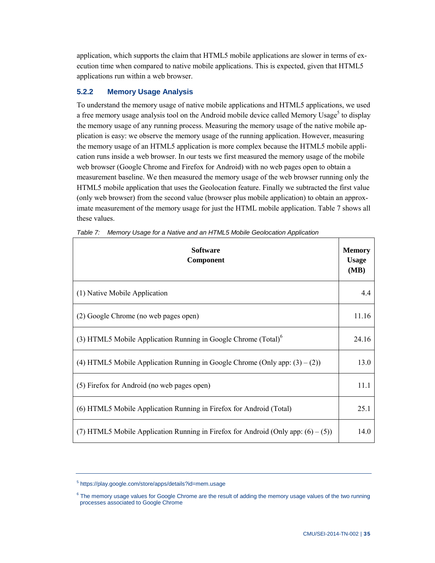application, which supports the claim that HTML5 mobile applications are slower in terms of execution time when compared to native mobile applications. This is expected, given that HTML5 applications run within a web browser.

#### **5.2.2 Memory Usage Analysis**

To understand the memory usage of native mobile applications and HTML5 applications, we used a free memory usage analysis tool on the Android mobile device called Memory Usage<sup>5</sup> to display the memory usage of any running process. Measuring the memory usage of the native mobile application is easy: we observe the memory usage of the running application. However, measuring the memory usage of an HTML5 application is more complex because the HTML5 mobile application runs inside a web browser. In our tests we first measured the memory usage of the mobile web browser (Google Chrome and Firefox for Android) with no web pages open to obtain a measurement baseline. We then measured the memory usage of the web browser running only the HTML5 mobile application that uses the Geolocation feature. Finally we subtracted the first value (only web browser) from the second value (browser plus mobile application) to obtain an approximate measurement of the memory usage for just the HTML mobile application. Table 7 shows all these values.

| <b>Software</b><br>Component                                                         | <b>Memory</b><br><b>Usage</b><br>(MB) |
|--------------------------------------------------------------------------------------|---------------------------------------|
| (1) Native Mobile Application                                                        | 44                                    |
| (2) Google Chrome (no web pages open)                                                | 11.16                                 |
| (3) HTML5 Mobile Application Running in Google Chrome $(Total)^6$                    | 24.16                                 |
| (4) HTML5 Mobile Application Running in Google Chrome (Only app: $(3) - (2)$ )       | 13.0                                  |
| (5) Firefox for Android (no web pages open)                                          | 11.1                                  |
| (6) HTML5 Mobile Application Running in Firefox for Android (Total)                  | 25.1                                  |
| (7) HTML5 Mobile Application Running in Firefox for Android (Only app: $(6) - (5)$ ) | 14.0                                  |

|  | Table 7: Memory Usage for a Native and an HTML5 Mobile Geolocation Application |
|--|--------------------------------------------------------------------------------|
|  |                                                                                |

<sup>5</sup> <https://play.google.com/store/apps/details?id=mem.usage>

<sup>&</sup>lt;sup>6</sup> The memory usage values for Google Chrome are the result of adding the memory usage values of the two running processes associated to Google Chrome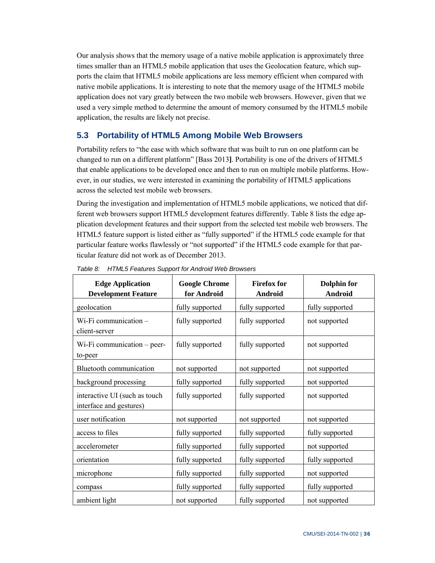Our analysis shows that the memory usage of a native mobile application is approximately three times smaller than an HTML5 mobile application that uses the Geolocation feature, which supports the claim that HTML5 mobile applications are less memory efficient when compared with native mobile applications. It is interesting to note that the memory usage of the HTML5 mobile application does not vary greatly between the two mobile web browsers. However, given that we used a very simple method to determine the amount of memory consumed by the HTML5 mobile application, the results are likely not precise.

### **5.3 Portability of HTML5 Among Mobile Web Browsers**

Portability refers to "the ease with which software that was built to run on one platform can be changed to run on a different platform" [Bass 2013**]**. Portability is one of the drivers of HTML5 that enable applications to be developed once and then to run on multiple mobile platforms. However, in our studies, we were interested in examining the portability of HTML5 applications across the selected test mobile web browsers.

During the investigation and implementation of HTML5 mobile applications, we noticed that different web browsers support HTML5 development features differently. Table 8 lists the edge application development features and their support from the selected test mobile web browsers. The HTML5 feature support is listed either as "fully supported" if the HTML5 code example for that particular feature works flawlessly or "not supported" if the HTML5 code example for that particular feature did not work as of December 2013.

| <b>Edge Application</b><br><b>Development Feature</b>    | <b>Google Chrome</b><br>for Android | <b>Firefox for</b><br>Android | <b>Dolphin for</b><br><b>Android</b> |
|----------------------------------------------------------|-------------------------------------|-------------------------------|--------------------------------------|
| geolocation                                              | fully supported                     | fully supported               | fully supported                      |
| Wi-Fi communication -<br>client-server                   | fully supported                     | fully supported               | not supported                        |
| $Wi$ -Fi communication – peer-<br>to-peer                | fully supported                     | fully supported               | not supported                        |
| <b>Bluetooth communication</b>                           | not supported                       | not supported                 | not supported                        |
| background processing                                    | fully supported                     | fully supported               | not supported                        |
| interactive UI (such as touch<br>interface and gestures) | fully supported                     | fully supported               | not supported                        |
| user notification                                        | not supported                       | not supported                 | not supported                        |
| access to files                                          | fully supported                     | fully supported               | fully supported                      |
| accelerometer                                            | fully supported                     | fully supported               | not supported                        |
| orientation                                              | fully supported                     | fully supported               | fully supported                      |
| microphone                                               | fully supported                     | fully supported               | not supported                        |
| compass                                                  | fully supported                     | fully supported               | fully supported                      |
| ambient light                                            | not supported                       | fully supported               | not supported                        |

*Table 8: HTML5 Features Support for Android Web Browsers*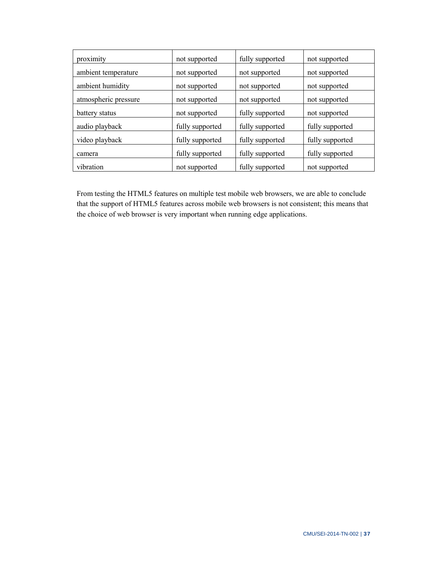| proximity            | not supported   | fully supported | not supported   |
|----------------------|-----------------|-----------------|-----------------|
| ambient temperature  | not supported   | not supported   | not supported   |
| ambient humidity     | not supported   | not supported   | not supported   |
| atmospheric pressure | not supported   | not supported   | not supported   |
| battery status       | not supported   | fully supported | not supported   |
| audio playback       | fully supported | fully supported | fully supported |
| video playback       | fully supported | fully supported | fully supported |
| camera               | fully supported | fully supported | fully supported |
| vibration            | not supported   | fully supported | not supported   |

From testing the HTML5 features on multiple test mobile web browsers, we are able to conclude that the support of HTML5 features across mobile web browsers is not consistent; this means that the choice of web browser is very important when running edge applications.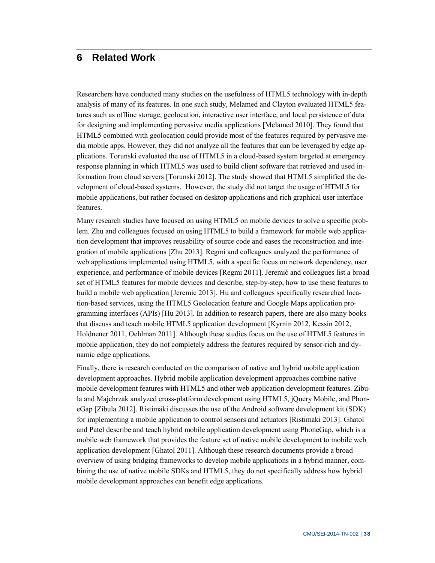## **6 Related Work**

Researchers have conducted many studies on the usefulness of HTML5 technology with in-depth analysis of many of its features. In one such study, Melamed and Clayton evaluated HTML5 features such as offline storage, geolocation, interactive user interface, and local persistence of data for designing and implementing pervasive media applications [Melamed 2010]. They found that HTML5 combined with geolocation could provide most of the features required by pervasive media mobile apps. However, they did not analyze all the features that can be leveraged by edge applications. Torunski evaluated the use of HTML5 in a cloud-based system targeted at emergency response planning in which HTML5 was used to build client software that retrieved and used information from cloud servers [Torunski 2012]. The study showed that HTML5 simplified the development of cloud-based systems. However, the study did not target the usage of HTML5 for mobile applications, but rather focused on desktop applications and rich graphical user interface features.

Many research studies have focused on using HTML5 on mobile devices to solve a specific problem. Zhu and colleagues focused on using HTML5 to build a framework for mobile web application development that improves reusability of source code and eases the reconstruction and integration of mobile applications [Zhu 2013]. Regmi and colleagues analyzed the performance of web applications implemented using HTML5, with a specific focus on network dependency, user experience, and performance of mobile devices [Regmi 2011]. Jeremić and colleagues list a broad set of HTML5 features for mobile devices and describe, step-by-step, how to use these features to build a mobile web application [Jeremic 2013]. Hu and colleagues specifically researched location-based services, using the HTML5 Geolocation feature and Google Maps application programming interfaces (APIs) [Hu 2013]. In addition to research papers, there are also many books that discuss and teach mobile HTML5 application development [Kyrnin 2012, Kessin 2012, Holdnener 2011, Oehlman 2011]. Although these studies focus on the use of HTML5 features in mobile application, they do not completely address the features required by sensor-rich and dynamic edge applications.

Finally, there is research conducted on the comparison of native and hybrid mobile application development approaches. Hybrid mobile application development approaches combine native mobile development features with HTML5 and other web application development features. Zibula and Majchrzak analyzed cross-platform development using HTML5, jQuery Mobile, and PhoneGap [Zibula 2012]. Ristimäki discusses the use of the Android software development kit (SDK) for implementing a mobile application to control sensors and actuators [Ristimaki 2013]. Ghatol and Patel describe and teach hybrid mobile application development using PhoneGap, which is a mobile web framework that provides the feature set of native mobile development to mobile web application development [Ghatol 2011]. Although these research documents provide a broad overview of using bridging frameworks to develop mobile applications in a hybrid manner, combining the use of native mobile SDKs and HTML5, they do not specifically address how hybrid mobile development approaches can benefit edge applications.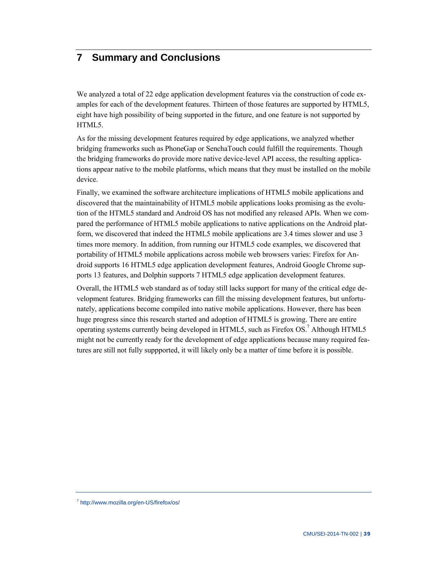## **7 Summary and Conclusions**

We analyzed a total of 22 edge application development features via the construction of code examples for each of the development features. Thirteen of those features are supported by HTML5, eight have high possibility of being supported in the future, and one feature is not supported by HTML5.

As for the missing development features required by edge applications, we analyzed whether bridging frameworks such as PhoneGap or SenchaTouch could fulfill the requirements. Though the bridging frameworks do provide more native device-level API access, the resulting applications appear native to the mobile platforms, which means that they must be installed on the mobile device.

Finally, we examined the software architecture implications of HTML5 mobile applications and discovered that the maintainability of HTML5 mobile applications looks promising as the evolution of the HTML5 standard and Android OS has not modified any released APIs. When we compared the performance of HTML5 mobile applications to native applications on the Android platform, we discovered that indeed the HTML5 mobile applications are 3.4 times slower and use 3 times more memory. In addition, from running our HTML5 code examples, we discovered that portability of HTML5 mobile applications across mobile web browsers varies: Firefox for Android supports 16 HTML5 edge application development features, Android Google Chrome supports 13 features, and Dolphin supports 7 HTML5 edge application development features.

Overall, the HTML5 web standard as of today still lacks support for many of the critical edge development features. Bridging frameworks can fill the missing development features, but unfortunately, applications become compiled into native mobile applications. However, there has been huge progress since this research started and adoption of HTML5 is growing. There are entire operating systems currently being developed in HTML5, such as Firefox OS.<sup>7</sup> Although HTML5 might not be currently ready for the development of edge applications because many required features are still not fully suppported, it will likely only be a matter of time before it is possible.

<sup>7</sup> <http://www.mozilla.org/en-US/firefox/os/>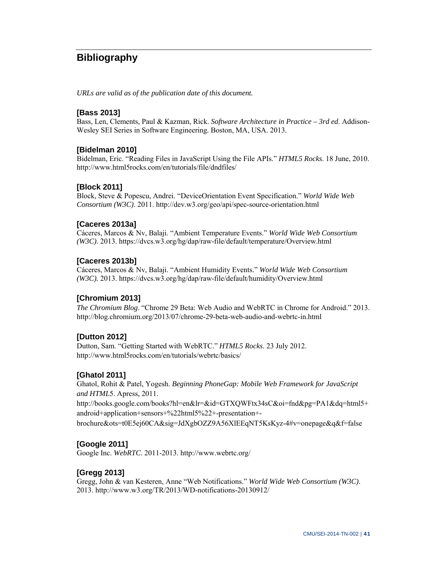## **Bibliography**

*URLs are valid as of the publication date of this document.* 

#### **[Bass 2013]**

Bass, Len, Clements, Paul & Kazman, Rick. *Software Architecture in Practice – 3rd ed*. Addison-Wesley SEI Series in Software Engineering. Boston, MA, USA. 2013.

#### **[Bidelman 2010]**

Bidelman, Eric. "Reading Files in JavaScript Using the File APIs." *HTML5 Rocks*. 18 June, 2010. <http://www.html5rocks.com/en/tutorials/file/dndfiles/>

#### **[Block 2011]**

Block, Steve & Popescu, Andrei. "DeviceOrientation Event Specification." *World Wide Web Consortium (W3C)*. 2011. <http://dev.w3.org/geo/api/spec-source-orientation.html>

#### **[Caceres 2013a]**

Cáceres, Marcos & Nv, Balaji. "Ambient Temperature Events." *World Wide Web Consortium (W3C)*. 2013.<https://dvcs.w3.org/hg/dap/raw-file/default/temperature/Overview.html>

#### **[Caceres 2013b]**

Cáceres, Marcos & Nv, Balaji. "Ambient Humidity Events." *World Wide Web Consortium (W3C).* 2013. <https://dvcs.w3.org/hg/dap/raw-file/default/humidity/Overview.html>

#### **[Chromium 2013]**

*The Chromium Blog*. "Chrome 29 Beta: Web Audio and WebRTC in Chrome for Android." 2013. <http://blog.chromium.org/2013/07/chrome-29-beta-web-audio-and-webrtc-in.html>

#### **[Dutton 2012]**

Dutton, Sam. "Getting Started with WebRTC." *HTML5 Rocks*. 23 July 2012. <http://www.html5rocks.com/en/tutorials/webrtc/basics/>

#### **[Ghatol 2011]**

Ghatol, Rohit & Patel, Yogesh. *Beginning PhoneGap: Mobile Web Framework for JavaScript and HTML*5. Apress, 2011. <http://books.google.com/books?hl=en&lr=&id=GTXQWFtx34sC&oi=fnd&pg=PA1&dq=html5+> android+application+sensors+%22html5%22+-presentation+-

brochure&ots=t0E5ej60CA&sig=JdXgbOZZ9A56XlEEqNT5KsKyz-4#v=onepage&q&f=false

#### **[Google 2011]**

Google Inc. *WebRTC*. 2011-2013.<http://www.webrtc.org/>

#### **[Gregg 2013]**

Gregg, John & van Kesteren, Anne "Web Notifications." *World Wide Web Consortium (W3C)*. 2013.<http://www.w3.org/TR/2013/WD-notifications-20130912/>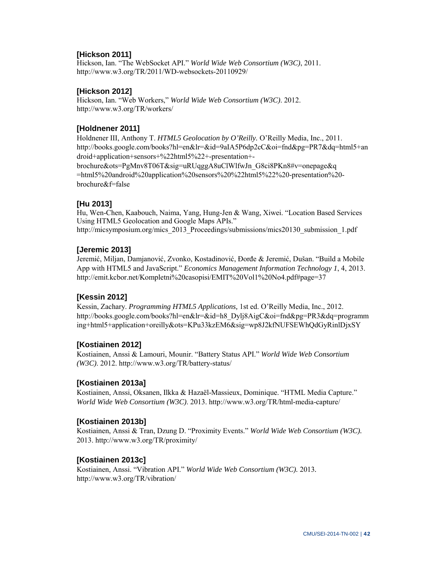#### **[Hickson 2011]**

Hickson, Ian. "The WebSocket API." *World Wide Web Consortium (W3C)*, 2011. <http://www.w3.org/TR/2011/WD-websockets-20110929/>

#### **[Hickson 2012]**

Hickson, Ian. "Web Workers," *World Wide Web Consortium (W3C)*. 2012. <http://www.w3.org/TR/workers/>

#### **[Holdnener 2011]**

Holdnener III, Anthony T. *HTML5 Geolocation by O'Reilly.* O'Reilly Media, Inc., 2011. <http://books.google.com/books?hl=en&lr=&id=9aIA5P6dp2cC&oi=fnd&pg=PR7&dq=html5+an> droid+application+sensors+%22html5%22+-presentation+ brochure&ots=PgMnv8T06T&sig=uRUqggA8uClWlfwJn\_G8ci8PKn8#v=onepage&q =html5%20android%20application%20sensors%20%22html5%22%20-presentation%20-

brochure&f=false

#### **[Hu 2013]**

Hu, Wen-Chen, Kaabouch, Naima, Yang, Hung-Jen & Wang, Xiwei. "Location Based Services Using HTML5 Geolocation and Google Maps APIs." http://micsymposium.org/mics\_2013\_Proceedings/submissions/mics20130\_submission\_1.pdf

#### **[Jeremic 2013]**

Jeremić, Miljan, Damjanović, Zvonko, Kostadinović, Đorđe & Jeremić, Dušan. "Build a Mobile App with HTML5 and JavaScript." *Economics Management Information Technology 1*, 4, 2013. <http://emit.kcbor.net/Kompletni%20casopisi/EMIT%20Vol1%20No4.pdf#page=37>

#### **[Kessin 2012]**

Kessin, Zachary. *Programming HTML5 Applications,* 1st ed. O'Reilly Media, Inc., 2012. [http://books.google.com/books?hl=en&lr=&id=h8\\_Dylj8AigC&oi=fnd&pg=PR3&dq=programm](http://books.google.com/books?hl=en&lr=&id=h8_Dylj8AigC&oi=fnd&pg=PR3&dq=programm) ing+html5+application+oreilly&ots=KPu33kzEM6&sig=wp8J2kfNUFSEWhQdGyRinlDjxSY

#### **[Kostiainen 2012]**

Kostiainen, Anssi & Lamouri, Mounir. "Battery Status API." *World Wide Web Consortium (W3C)*. 2012.<http://www.w3.org/TR/battery-status/>

#### **[Kostiainen 2013a]**

Kostiainen, Anssi, Oksanen, Ilkka & Hazaël-Massieux, Dominique. "HTML Media Capture." *World Wide Web Consortium (W3C)*. 2013.<http://www.w3.org/TR/html-media-capture/>

#### **[Kostiainen 2013b]**

Kostiainen, Anssi & Tran, Dzung D. "Proximity Events." *World Wide Web Consortium (W3C).*  2013.<http://www.w3.org/TR/proximity/>

#### **[Kostiainen 2013c]**

Kostiainen, Anssi. "Vibration API." *World Wide Web Consortium (W3C).* 2013*.*  <http://www.w3.org/TR/vibration/>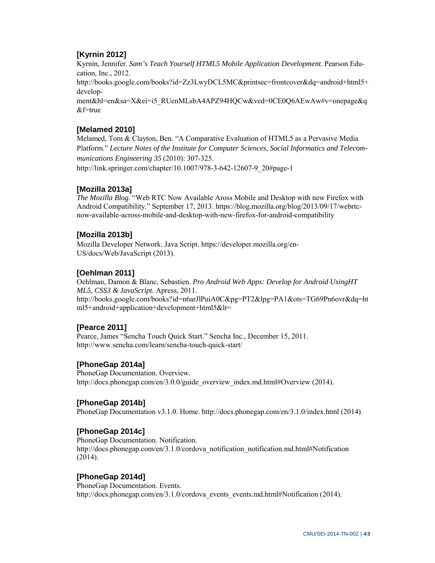#### **[Kyrnin 2012]**

Kyrnin, Jennifer*. Sam's Teach Yourself HTML5 Mobile Application Development.* Pearson Education, Inc., 2012. <http://books.google.com/books?id=Zz3LwyDCL5MC&printsec=frontcover&dq=android+html5+> development&hl=en&sa=X&ei=i5\_RUenMLsbA4APZ94HQCw&ved=0CE0Q6AEwAw#v=onepage&q  $&$ f=true

#### **[Melamed 2010]**

Melamed, Tom & Clayton, Ben. "A Comparative Evaluation of HTML5 as a Pervasive Media Platform." *Lecture Notes of the Institute for Computer Sciences, Social Informatics and Telecommunications Engineering 35* (2010): 307-325.

[http://link.springer.com/chapter/10.1007/978-3-642-12607-9\\_20#page-1](http://link.springer.com/chapter/10.1007/978-3-642-12607-9_20#page-1) 

#### **[Mozilla 2013a]**

*The Mozilla Blog*. "Web RTC Now Available Aross Mobile and Desktop with new Firefox with [Android Compatibility." September 17, 2013. https://blog.mozilla.org/blog/2013/09/17/webrtc](https://blog.mozilla.org/blog/2013/09/17/webrtc-now-available-across-mobile-and-desktop-with-new-firefox-for-android-compatibility)now[-available-across-mobile-and-desktop-with-new-firefox-for-android-compatibility](https://blog.mozilla.org/blog/2013/09/17/webrtc-now-available-across-mobile-and-desktop-with-new-firefox-for-android-compatibility) 

#### **[Mozilla 2013b]**

Mozilla Developer Network. Java Script. [https://developer.mozilla.org/en-](https://developer.mozilla.org/en-US/docs/Web/JavaScript)[US/docs/Web/JavaScript \(2](https://developer.mozilla.org/en-US/docs/Web/JavaScript)013).

#### **[Oehlman 2011]**

Oehlman, Damon & Blanc, Sebastien. *Pro Android Web Apps: Develop for Android UsingHT ML5, CSS3 & JavaScript.* Apress, 2011. <http://books.google.com/books?id=n6arJlPuiA0C&pg=PT2&lpg=PA1&ots=TG69Pn6ovr&dq=ht> ml5+android+application+development+html5&lr=

#### **[Pearce 2011]**

Pearce, James "Sencha Touch Quick Start." Sencha Inc., December 15, 2011. <http://www.sencha.com/learn/sencha-touch-quick-start/>

#### **[PhoneGap 2014a]**

PhoneGap Documentation. Overview. [http://docs.phonegap.com/en/3.0.0/guide\\_overview\\_index.md.html#Overview \(2](http://docs.phonegap.com/en/3.0.0/guide_overview_index.md.html#Overview)014).

#### **[PhoneGap 2014b]**

PhoneGap Documentation v3.1.0. Home. [http://docs.phonegap.com/en/3.1.0/index.html \(2](http://docs.phonegap.com/en/3.1.0/index.html)014).

#### **[PhoneGap 2014c]**

PhoneGap Documentation. Notification. http://docs.phonegap.com/en/3.1.0/cordova\_notification\_notification.md.html#Notification (2014).

#### **[PhoneGap 2014d]**

PhoneGap Documentation. Events. [http://docs.phonegap.com/en/3.1.0/cordova\\_events\\_events.md.html#Notification \(2](http://docs.phonegap.com/en/3.1.0/cordova_events_events.md.html#Notification)014).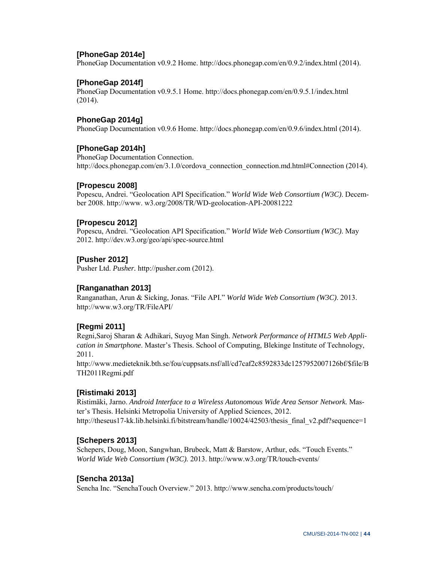#### **[PhoneGap 2014e]**

PhoneGap Documentation v0.9.2 Home. [http://docs.phonegap.com/en/0.9.2/index.html \(2](http://docs.phonegap.com/en/0.9.2/index.html)014).

#### **[PhoneGap 2014f]**

PhoneGap Documentation v0.9.5.1 Home.<http://docs.phonegap.com/en/0.9.5.1/index.html> (2014).

#### **PhoneGap 2014g]**

PhoneGap Documentation v0.9.6 Home. [http://docs.phonegap.com/en/0.9.6/index.html \(2](http://docs.phonegap.com/en/0.9.6/index.html)014).

#### **[PhoneGap 2014h]**

PhoneGap Documentation Connection. [http://docs.phonegap.com/en/3.1.0/cordova\\_connection\\_connection.md.html#Connection \(2](http://docs.phonegap.com/en/3.1.0/cordova_connection_connection.md.html#Connection)014).

#### **[Propescu 2008]**

Popescu, Andrei. "Geolocation API Specification." *World Wide Web Consortium (W3C)*. December 2008. [http://www. w](http://www)3.org/2008/TR/WD-geolocation-API-20081222

#### **[Propescu 2012]**

Popescu, Andrei. "Geolocation API Specification." *World Wide Web Consortium (W3C)*. May 2012.<http://dev.w3.org/geo/api/spec-source.html>

#### **[Pusher 2012]**

Pusher Ltd. *Pusher.* [http://pusher.com \(2](http://pusher.com)012).

#### **[Ranganathan 2013]**

Ranganathan, Arun & Sicking, Jonas. "File API." *World Wide Web Consortium (W3C)*. 2013. <http://www.w3.org/TR/FileAPI/>

#### **[Regmi 2011]**

Regni,Saroj Sharan & Adhikari, Suyog Man Singh. *Network Performance of HTML5 Web Application in Smartphone*. Master's Thesis. School of Computing, Blekinge Institute of Technology, 2011.

[http://www.medieteknik.bth.se/fou/cuppsats.nsf/all/cd7caf2c8592833dc1257952007126bf/\\$file/B](http://www.medieteknik.bth.se/fou/cuppsats.nsf/all/cd7caf2c8592833dc1257952007126bf/$file/B) TH2011Regmi.pdf

#### **[Ristimaki 2013]**

Ristimäki, Jarno. *Android Interface to a Wireless Autonomous Wide Area Sensor Network.* Master's Thesis. Helsinki Metropolia University of Applied Sciences, 2012. http://theseus17-kk.lib.helsinki.fi/bitstream/handle/10024/42503/thesis\_final\_v2.pdf?sequence=1

#### **[Schepers 2013]**

Schepers, Doug, Moon, Sangwhan, Brubeck, Matt & Barstow, Arthur, eds. "Touch Events." *World Wide Web Consortium (W3C).* 2013.<http://www.w3.org/TR/touch-events/>

#### **[Sencha 2013a]**

Sencha Inc. "SenchaTouch Overview." 2013. <http://www.sencha.com/products/touch/>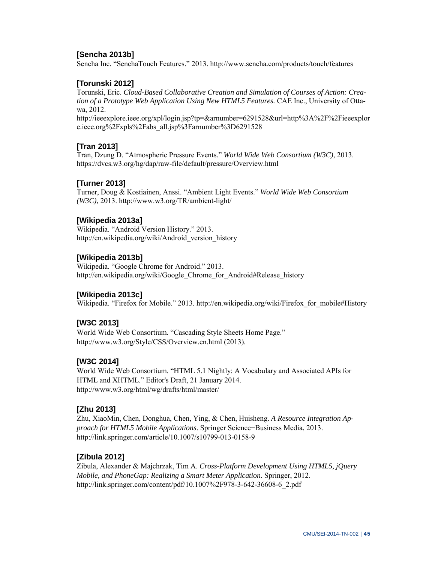#### **[Sencha 2013b]**

Sencha Inc. "SenchaTouch Features." 2013. <http://www.sencha.com/products/touch/features>

#### **[Torunski 2012]**

Torunski, Eric. *Cloud-Based Collaborative Creation and Simulation of Courses of Action: Creation of a Prototype Web Application Using New HTML5 Features.* CAE Inc., University of Ottawa, 2012. <http://ieeexplore.ieee.org/xpl/login.jsp?tp=&arnumber=6291528&url=http%3A%2F%2Fieeexplor> e.ieee.org%2Fxpls%2Fabs\_all.jsp%3Farnumber%3D6291528

#### **[Tran 2013]**

Tran, Dzung D. "Atmospheric Pressure Events." *World Wide Web Consortium (W3C)*, 2013. <https://dvcs.w3.org/hg/dap/raw-file/default/pressure/Overview.html>

#### **[Turner 2013]**

Turner, Doug & Kostiainen, Anssi. "Ambient Light Events." *World Wide Web Consortium (W3C)*, 2013.<http://www.w3.org/TR/ambient-light/>

#### **[Wikipedia 2013a]**

Wikipedia. "Android Version History." 2013. [http://en.wikipedia.org/wiki/Android\\_version\\_history](http://en.wikipedia.org/wiki/Android_version_history) 

#### **[Wikipedia 2013b]**

Wikipedia. "Google Chrome for Android." 2013. [http://en.wikipedia.org/wiki/Google\\_Chrome\\_for\\_Android#Release\\_history](http://en.wikipedia.org/wiki/Google_Chrome_for_Android#Release_history) 

#### **[Wikipedia 2013c]**

Wikipedia. "Firefox for Mobile." 2013. http://en.wikipedia.org/wiki/Firefox for mobile#History

#### **[W3C 2013]**

World Wide Web Consortium. "Cascading Style Sheets Home Page." [http://www.w3.org/Style/CSS/Overview.en.html \(2](http://www.w3.org/Style/CSS/Overview.en.html)013).

#### **[W3C 2014]**

World Wide Web Consortium. "HTML 5.1 Nightly: A Vocabulary and Associated APIs for HTML and XHTML." Editor's Draft, 21 January 2014. <http://www.w3.org/html/wg/drafts/html/master/>

#### **[Zhu 2013]**

Zhu, XiaoMin, Chen, Donghua, Chen, Ying, & Chen, Huisheng. *A Resource Integration Approach for HTML5 Mobile Applications*. Springer Science+Business Media, 2013. <http://link.springer.com/article/10.1007/s10799-013-0158-9>

#### **[Zibula 2012]**

Zibula, Alexander & Majchrzak, Tim A. *Cross-Platform Development Using HTML5, jQuery Mobile, and PhoneGap: Realizing a Smart Meter Application*. Springer, 2012. [http://link.springer.com/content/pdf/10.1007%2F978-3-642-36608-6\\_2.pdf](http://link.springer.com/content/pdf/10.1007%2F978-3-642-36608-6_2.pdf)